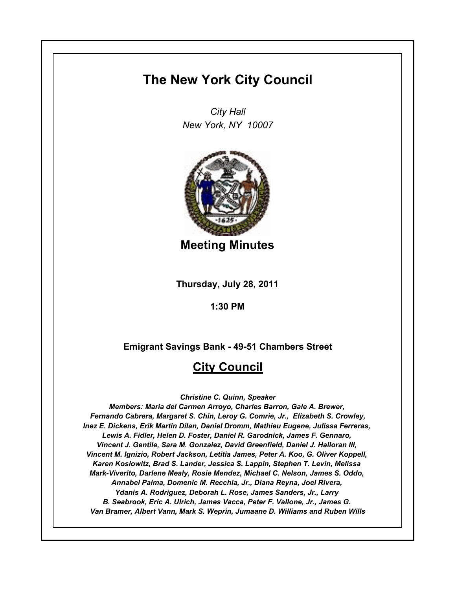# **The New York City Council**

*City Hall New York, NY 10007*



**Meeting Minutes**

**Thursday, July 28, 2011**

**1:30 PM**

**Emigrant Savings Bank - 49-51 Chambers Street**

## **City Council**

*Christine C. Quinn, Speaker*

*Members: Maria del Carmen Arroyo, Charles Barron, Gale A. Brewer, Fernando Cabrera, Margaret S. Chin, Leroy G. Comrie, Jr., Elizabeth S. Crowley, Inez E. Dickens, Erik Martin Dilan, Daniel Dromm, Mathieu Eugene, Julissa Ferreras, Lewis A. Fidler, Helen D. Foster, Daniel R. Garodnick, James F. Gennaro, Vincent J. Gentile, Sara M. Gonzalez, David Greenfield, Daniel J. Halloran III, Vincent M. Ignizio, Robert Jackson, Letitia James, Peter A. Koo, G. Oliver Koppell, Karen Koslowitz, Brad S. Lander, Jessica S. Lappin, Stephen T. Levin, Melissa Mark-Viverito, Darlene Mealy, Rosie Mendez, Michael C. Nelson, James S. Oddo, Annabel Palma, Domenic M. Recchia, Jr., Diana Reyna, Joel Rivera, Ydanis A. Rodriguez, Deborah L. Rose, James Sanders, Jr., Larry B. Seabrook, Eric A. Ulrich, James Vacca, Peter F. Vallone, Jr., James G. Van Bramer, Albert Vann, Mark S. Weprin, Jumaane D. Williams and Ruben Wills*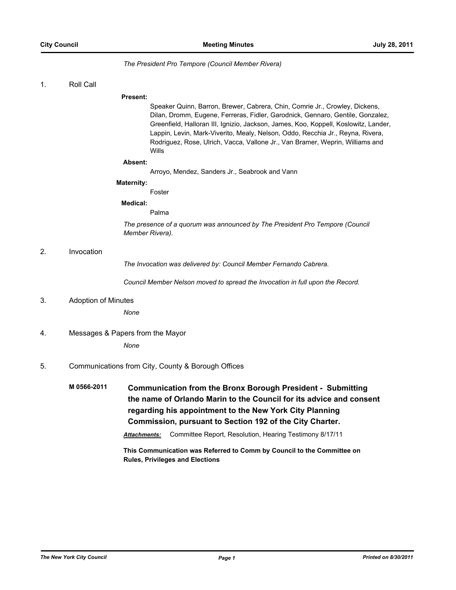#### *The President Pro Tempore (Council Member Rivera)*

#### 1. Roll Call

#### **Present:**

Speaker Quinn, Barron, Brewer, Cabrera, Chin, Comrie Jr., Crowley, Dickens, Dilan, Dromm, Eugene, Ferreras, Fidler, Garodnick, Gennaro, Gentile, Gonzalez, Greenfield, Halloran III, Ignizio, Jackson, James, Koo, Koppell, Koslowitz, Lander, Lappin, Levin, Mark-Viverito, Mealy, Nelson, Oddo, Recchia Jr., Reyna, Rivera, Rodriguez, Rose, Ulrich, Vacca, Vallone Jr., Van Bramer, Weprin, Williams and Wills

#### **Absent:**

Arroyo, Mendez, Sanders Jr., Seabrook and Vann

#### **Maternity:**

Foster

#### **Medical:**

Palma

*The presence of a quorum was announced by The President Pro Tempore (Council Member Rivera).*

#### 2. Invocation

*The Invocation was delivered by: Council Member Fernando Cabrera.*

*Council Member Nelson moved to spread the Invocation in full upon the Record.*

#### 3. Adoption of Minutes

*None*

# 4. Messages & Papers from the Mayor

*None*

#### 5. Communications from City, County & Borough Offices

**M 0566-2011 Communication from the Bronx Borough President - Submitting the name of Orlando Marin to the Council for its advice and consent regarding his appointment to the New York City Planning Commission, pursuant to Section 192 of the City Charter.**

*Attachments:* Committee Report, Resolution, Hearing Testimony 8/17/11

**This Communication was Referred to Comm by Council to the Committee on Rules, Privileges and Elections**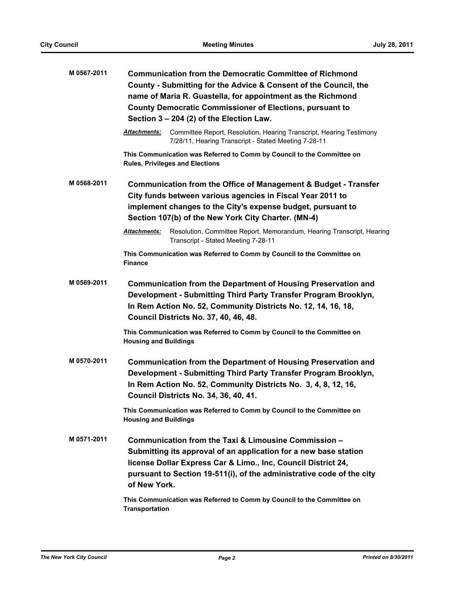| M 0567-2011 | <b>Communication from the Democratic Committee of Richmond</b><br>County - Submitting for the Advice & Consent of the Council, the<br>name of Maria R. Guastella, for appointment as the Richmond<br><b>County Democratic Commissioner of Elections, pursuant to</b><br>Section 3 - 204 (2) of the Election Law.                                             |
|-------------|--------------------------------------------------------------------------------------------------------------------------------------------------------------------------------------------------------------------------------------------------------------------------------------------------------------------------------------------------------------|
|             | Attachments:<br>Committee Report, Resolution, Hearing Transcript, Hearing Testimony<br>7/28/11, Hearing Transcript - Stated Meeting 7-28-11                                                                                                                                                                                                                  |
|             | This Communication was Referred to Comm by Council to the Committee on<br><b>Rules, Privileges and Elections</b>                                                                                                                                                                                                                                             |
| M 0568-2011 | Communication from the Office of Management & Budget - Transfer<br>City funds between various agencies in Fiscal Year 2011 to<br>implement changes to the City's expense budget, pursuant to<br>Section 107(b) of the New York City Charter. (MN-4)                                                                                                          |
|             | <b>Attachments:</b><br>Resolution, Committee Report, Memorandum, Hearing Transcript, Hearing<br>Transcript - Stated Meeting 7-28-11                                                                                                                                                                                                                          |
|             | This Communication was Referred to Comm by Council to the Committee on<br><b>Finance</b>                                                                                                                                                                                                                                                                     |
| M 0569-2011 | <b>Communication from the Department of Housing Preservation and</b><br>Development - Submitting Third Party Transfer Program Brooklyn,<br>In Rem Action No. 52, Community Districts No. 12, 14, 16, 18,<br><b>Council Districts No. 37, 40, 46, 48.</b>                                                                                                     |
|             | This Communication was Referred to Comm by Council to the Committee on<br><b>Housing and Buildings</b>                                                                                                                                                                                                                                                       |
| M 0570-2011 | <b>Communication from the Department of Housing Preservation and</b><br>Development - Submitting Third Party Transfer Program Brooklyn,<br>In Rem Action No. 52, Community Districts No. 3, 4, 8, 12, 16,<br><b>Council Districts No. 34, 36, 40, 41.</b>                                                                                                    |
|             | This Communication was Referred to Comm by Council to the Committee on<br><b>Housing and Buildings</b>                                                                                                                                                                                                                                                       |
| M 0571-2011 | Communication from the Taxi & Limousine Commission -<br>Submitting its approval of an application for a new base station<br>license Dollar Express Car & Limo., Inc, Council District 24,<br>pursuant to Section 19-511(i), of the administrative code of the city<br>of New York.<br>This Communication was Referred to Comm by Council to the Committee on |
|             | <b>Transportation</b>                                                                                                                                                                                                                                                                                                                                        |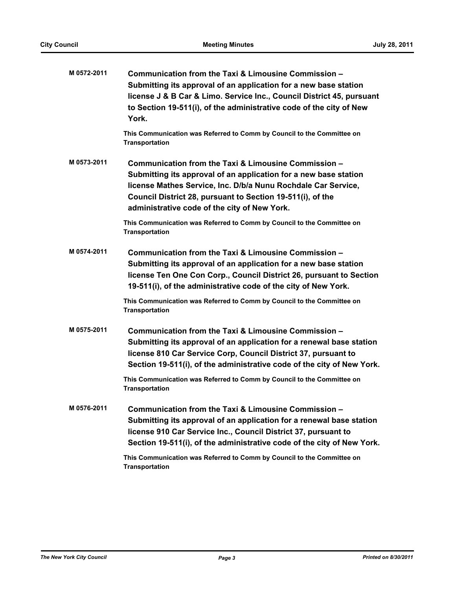| M 0572-2011 | Communication from the Taxi & Limousine Commission -<br>Submitting its approval of an application for a new base station<br>license J & B Car & Limo. Service Inc., Council District 45, pursuant<br>to Section 19-511(i), of the administrative code of the city of New<br>York.                       |
|-------------|---------------------------------------------------------------------------------------------------------------------------------------------------------------------------------------------------------------------------------------------------------------------------------------------------------|
|             | This Communication was Referred to Comm by Council to the Committee on<br><b>Transportation</b>                                                                                                                                                                                                         |
| M 0573-2011 | Communication from the Taxi & Limousine Commission -<br>Submitting its approval of an application for a new base station<br>license Mathes Service, Inc. D/b/a Nunu Rochdale Car Service,<br>Council District 28, pursuant to Section 19-511(i), of the<br>administrative code of the city of New York. |
|             | This Communication was Referred to Comm by Council to the Committee on<br><b>Transportation</b>                                                                                                                                                                                                         |
| M 0574-2011 | Communication from the Taxi & Limousine Commission -<br>Submitting its approval of an application for a new base station<br>license Ten One Con Corp., Council District 26, pursuant to Section<br>19-511(i), of the administrative code of the city of New York.                                       |
|             | This Communication was Referred to Comm by Council to the Committee on<br><b>Transportation</b>                                                                                                                                                                                                         |
| M 0575-2011 | Communication from the Taxi & Limousine Commission -<br>Submitting its approval of an application for a renewal base station<br>license 810 Car Service Corp, Council District 37, pursuant to<br>Section 19-511(i), of the administrative code of the city of New York.                                |
|             | This Communication was Referred to Comm by Council to the Committee on<br><b>Transportation</b>                                                                                                                                                                                                         |
| M 0576-2011 | Communication from the Taxi & Limousine Commission -<br>Submitting its approval of an application for a renewal base station<br>license 910 Car Service Inc., Council District 37, pursuant to<br>Section 19-511(i), of the administrative code of the city of New York.                                |
|             | This Communication was Referred to Comm by Council to the Committee on<br><b>Transportation</b>                                                                                                                                                                                                         |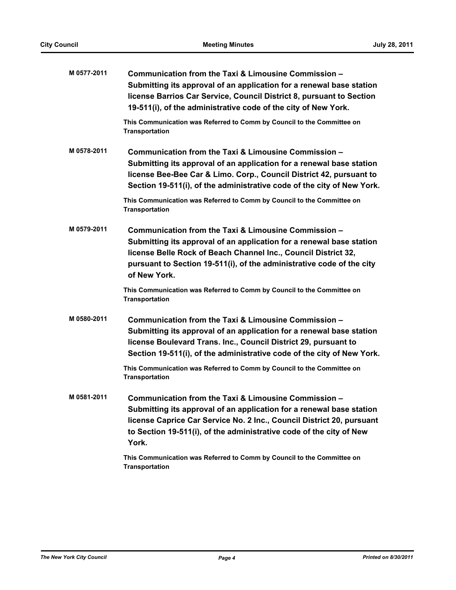| M 0577-2011 | Communication from the Taxi & Limousine Commission -<br>Submitting its approval of an application for a renewal base station<br>license Barrios Car Service, Council District 8, pursuant to Section<br>19-511(i), of the administrative code of the city of New York.                  |
|-------------|-----------------------------------------------------------------------------------------------------------------------------------------------------------------------------------------------------------------------------------------------------------------------------------------|
|             | This Communication was Referred to Comm by Council to the Committee on<br><b>Transportation</b>                                                                                                                                                                                         |
| M 0578-2011 | Communication from the Taxi & Limousine Commission -<br>Submitting its approval of an application for a renewal base station<br>license Bee-Bee Car & Limo. Corp., Council District 42, pursuant to<br>Section 19-511(i), of the administrative code of the city of New York.           |
|             | This Communication was Referred to Comm by Council to the Committee on<br><b>Transportation</b>                                                                                                                                                                                         |
| M 0579-2011 | Communication from the Taxi & Limousine Commission -<br>Submitting its approval of an application for a renewal base station<br>license Belle Rock of Beach Channel Inc., Council District 32,<br>pursuant to Section 19-511(i), of the administrative code of the city<br>of New York. |
|             | This Communication was Referred to Comm by Council to the Committee on<br><b>Transportation</b>                                                                                                                                                                                         |
| M0580-2011  | Communication from the Taxi & Limousine Commission -<br>Submitting its approval of an application for a renewal base station<br>license Boulevard Trans. Inc., Council District 29, pursuant to<br>Section 19-511(i), of the administrative code of the city of New York.               |
|             | This Communication was Referred to Comm by Council to the Committee on<br><b>Transportation</b>                                                                                                                                                                                         |
| M0581-2011  | Communication from the Taxi & Limousine Commission -<br>Submitting its approval of an application for a renewal base station<br>license Caprice Car Service No. 2 Inc., Council District 20, pursuant<br>to Section 19-511(i), of the administrative code of the city of New<br>York.   |
|             | This Communication was Referred to Comm by Council to the Committee on<br><b>Transportation</b>                                                                                                                                                                                         |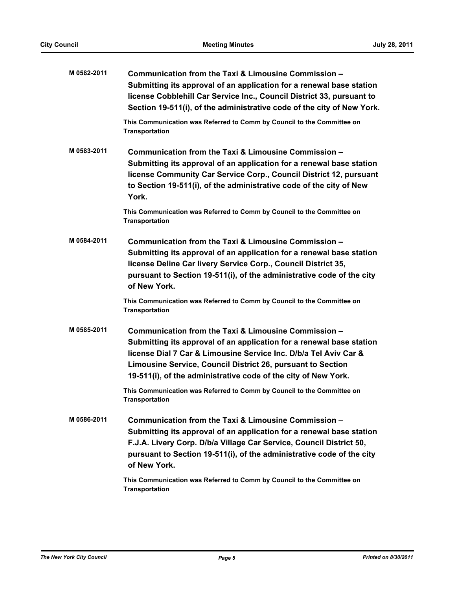| M 0582-2011 | Communication from the Taxi & Limousine Commission -<br>Submitting its approval of an application for a renewal base station<br>license Cobblehill Car Service Inc., Council District 33, pursuant to<br>Section 19-511(i), of the administrative code of the city of New York.                                                                                                                             |
|-------------|-------------------------------------------------------------------------------------------------------------------------------------------------------------------------------------------------------------------------------------------------------------------------------------------------------------------------------------------------------------------------------------------------------------|
|             | This Communication was Referred to Comm by Council to the Committee on<br><b>Transportation</b>                                                                                                                                                                                                                                                                                                             |
| M 0583-2011 | Communication from the Taxi & Limousine Commission -<br>Submitting its approval of an application for a renewal base station<br>license Community Car Service Corp., Council District 12, pursuant<br>to Section 19-511(i), of the administrative code of the city of New<br>York.                                                                                                                          |
|             | This Communication was Referred to Comm by Council to the Committee on<br><b>Transportation</b>                                                                                                                                                                                                                                                                                                             |
| M 0584-2011 | Communication from the Taxi & Limousine Commission -<br>Submitting its approval of an application for a renewal base station<br>license Deline Car livery Service Corp., Council District 35,<br>pursuant to Section 19-511(i), of the administrative code of the city<br>of New York.                                                                                                                      |
|             | This Communication was Referred to Comm by Council to the Committee on<br><b>Transportation</b>                                                                                                                                                                                                                                                                                                             |
| M 0585-2011 | Communication from the Taxi & Limousine Commission -<br>Submitting its approval of an application for a renewal base station<br>license Dial 7 Car & Limousine Service Inc. D/b/a Tel Aviv Car &<br>Limousine Service, Council District 26, pursuant to Section<br>19-511(i), of the administrative code of the city of New York.<br>This Communication was Referred to Comm by Council to the Committee on |
|             | Transportation                                                                                                                                                                                                                                                                                                                                                                                              |
| M 0586-2011 | Communication from the Taxi & Limousine Commission -<br>Submitting its approval of an application for a renewal base station<br>F.J.A. Livery Corp. D/b/a Village Car Service, Council District 50,<br>pursuant to Section 19-511(i), of the administrative code of the city<br>of New York.                                                                                                                |
|             | This Communication was Referred to Comm by Council to the Committee on<br><b>Transportation</b>                                                                                                                                                                                                                                                                                                             |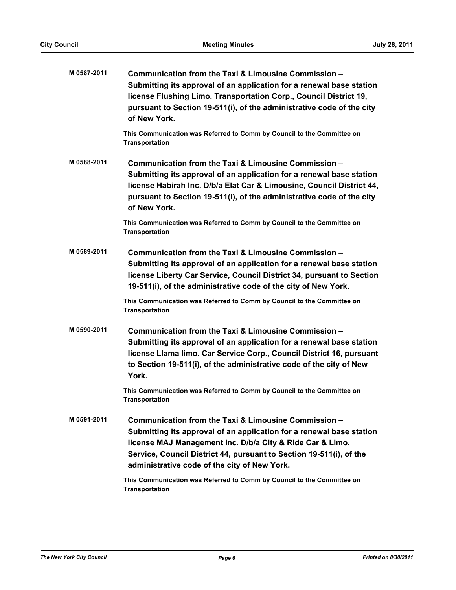| M 0587-2011 | Communication from the Taxi & Limousine Commission -<br>Submitting its approval of an application for a renewal base station<br>license Flushing Limo. Transportation Corp., Council District 19,<br>pursuant to Section 19-511(i), of the administrative code of the city<br>of New York.                       |
|-------------|------------------------------------------------------------------------------------------------------------------------------------------------------------------------------------------------------------------------------------------------------------------------------------------------------------------|
|             | This Communication was Referred to Comm by Council to the Committee on<br><b>Transportation</b>                                                                                                                                                                                                                  |
| M0588-2011  | Communication from the Taxi & Limousine Commission -<br>Submitting its approval of an application for a renewal base station<br>license Habirah Inc. D/b/a Elat Car & Limousine, Council District 44,<br>pursuant to Section 19-511(i), of the administrative code of the city<br>of New York.                   |
|             | This Communication was Referred to Comm by Council to the Committee on<br><b>Transportation</b>                                                                                                                                                                                                                  |
| M 0589-2011 | Communication from the Taxi & Limousine Commission -<br>Submitting its approval of an application for a renewal base station<br>license Liberty Car Service, Council District 34, pursuant to Section<br>19-511(i), of the administrative code of the city of New York.                                          |
|             | This Communication was Referred to Comm by Council to the Committee on<br><b>Transportation</b>                                                                                                                                                                                                                  |
| M 0590-2011 | Communication from the Taxi & Limousine Commission -<br>Submitting its approval of an application for a renewal base station<br>license Llama limo. Car Service Corp., Council District 16, pursuant<br>to Section 19-511(i), of the administrative code of the city of New<br>York.                             |
|             | This Communication was Referred to Comm by Council to the Committee on<br><b>Transportation</b>                                                                                                                                                                                                                  |
| M 0591-2011 | Communication from the Taxi & Limousine Commission -<br>Submitting its approval of an application for a renewal base station<br>license MAJ Management Inc. D/b/a City & Ride Car & Limo.<br>Service, Council District 44, pursuant to Section 19-511(i), of the<br>administrative code of the city of New York. |
|             | This Communication was Referred to Comm by Council to the Committee on<br><b>Transportation</b>                                                                                                                                                                                                                  |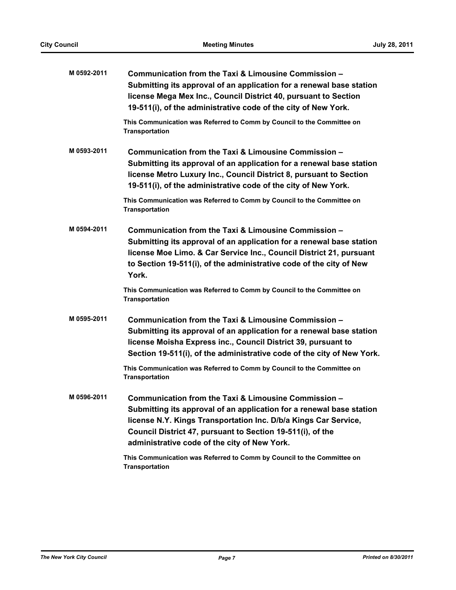| M 0592-2011 | Communication from the Taxi & Limousine Commission -<br>Submitting its approval of an application for a renewal base station<br>license Mega Mex Inc., Council District 40, pursuant to Section<br>19-511(i), of the administrative code of the city of New York.                                             |
|-------------|---------------------------------------------------------------------------------------------------------------------------------------------------------------------------------------------------------------------------------------------------------------------------------------------------------------|
|             | This Communication was Referred to Comm by Council to the Committee on<br><b>Transportation</b>                                                                                                                                                                                                               |
| M 0593-2011 | Communication from the Taxi & Limousine Commission -<br>Submitting its approval of an application for a renewal base station<br>license Metro Luxury Inc., Council District 8, pursuant to Section<br>19-511(i), of the administrative code of the city of New York.                                          |
|             | This Communication was Referred to Comm by Council to the Committee on<br><b>Transportation</b>                                                                                                                                                                                                               |
| M 0594-2011 | Communication from the Taxi & Limousine Commission -<br>Submitting its approval of an application for a renewal base station<br>license Moe Limo. & Car Service Inc., Council District 21, pursuant<br>to Section 19-511(i), of the administrative code of the city of New<br>York.                           |
|             | This Communication was Referred to Comm by Council to the Committee on<br><b>Transportation</b>                                                                                                                                                                                                               |
| M 0595-2011 | Communication from the Taxi & Limousine Commission -<br>Submitting its approval of an application for a renewal base station<br>license Moisha Express inc., Council District 39, pursuant to<br>Section 19-511(i), of the administrative code of the city of New York.                                       |
|             | This Communication was Referred to Comm by Council to the Committee on<br><b>Transportation</b>                                                                                                                                                                                                               |
| M 0596-2011 | Communication from the Taxi & Limousine Commission -<br>Submitting its approval of an application for a renewal base station<br>license N.Y. Kings Transportation Inc. D/b/a Kings Car Service,<br>Council District 47, pursuant to Section 19-511(i), of the<br>administrative code of the city of New York. |
|             | This Communication was Referred to Comm by Council to the Committee on<br><b>Transportation</b>                                                                                                                                                                                                               |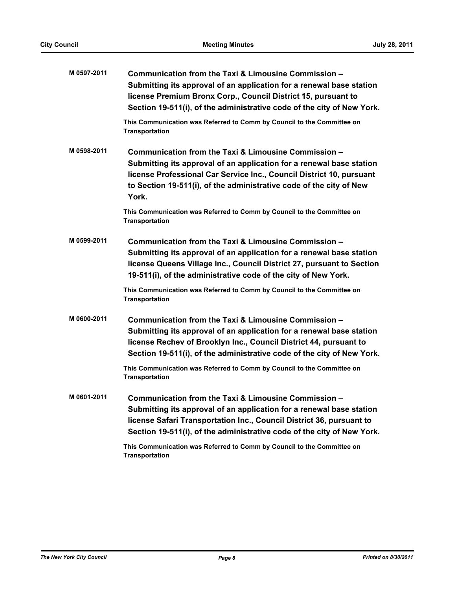| M 0597-2011 | Communication from the Taxi & Limousine Commission -<br>Submitting its approval of an application for a renewal base station<br>license Premium Bronx Corp., Council District 15, pursuant to<br>Section 19-511(i), of the administrative code of the city of New York.              |
|-------------|--------------------------------------------------------------------------------------------------------------------------------------------------------------------------------------------------------------------------------------------------------------------------------------|
|             | This Communication was Referred to Comm by Council to the Committee on<br><b>Transportation</b>                                                                                                                                                                                      |
| M 0598-2011 | Communication from the Taxi & Limousine Commission -<br>Submitting its approval of an application for a renewal base station<br>license Professional Car Service Inc., Council District 10, pursuant<br>to Section 19-511(i), of the administrative code of the city of New<br>York. |
|             | This Communication was Referred to Comm by Council to the Committee on<br><b>Transportation</b>                                                                                                                                                                                      |
| M 0599-2011 | Communication from the Taxi & Limousine Commission -<br>Submitting its approval of an application for a renewal base station<br>license Queens Village Inc., Council District 27, pursuant to Section<br>19-511(i), of the administrative code of the city of New York.              |
|             | This Communication was Referred to Comm by Council to the Committee on<br><b>Transportation</b>                                                                                                                                                                                      |
| M0600-2011  | Communication from the Taxi & Limousine Commission -<br>Submitting its approval of an application for a renewal base station<br>license Rechev of Brooklyn Inc., Council District 44, pursuant to<br>Section 19-511(i), of the administrative code of the city of New York.          |
|             | This Communication was Referred to Comm by Council to the Committee on<br><b>Transportation</b>                                                                                                                                                                                      |
| M 0601-2011 | Communication from the Taxi & Limousine Commission -<br>Submitting its approval of an application for a renewal base station<br>license Safari Transportation Inc., Council District 36, pursuant to<br>Section 19-511(i), of the administrative code of the city of New York.       |
|             | This Communication was Referred to Comm by Council to the Committee on<br><b>Transportation</b>                                                                                                                                                                                      |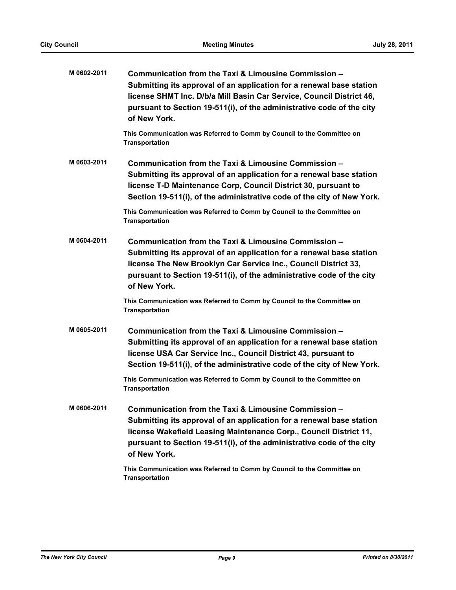| M0602-2011  | Communication from the Taxi & Limousine Commission -<br>Submitting its approval of an application for a renewal base station<br>license SHMT Inc. D/b/a Mill Basin Car Service, Council District 46,<br>pursuant to Section 19-511(i), of the administrative code of the city<br>of New York. |
|-------------|-----------------------------------------------------------------------------------------------------------------------------------------------------------------------------------------------------------------------------------------------------------------------------------------------|
|             | This Communication was Referred to Comm by Council to the Committee on<br><b>Transportation</b>                                                                                                                                                                                               |
| M0603-2011  | Communication from the Taxi & Limousine Commission -<br>Submitting its approval of an application for a renewal base station<br>license T-D Maintenance Corp, Council District 30, pursuant to<br>Section 19-511(i), of the administrative code of the city of New York.                      |
|             | This Communication was Referred to Comm by Council to the Committee on<br><b>Transportation</b>                                                                                                                                                                                               |
| M0604-2011  | Communication from the Taxi & Limousine Commission -<br>Submitting its approval of an application for a renewal base station<br>license The New Brooklyn Car Service Inc., Council District 33,<br>pursuant to Section 19-511(i), of the administrative code of the city<br>of New York.      |
|             | This Communication was Referred to Comm by Council to the Committee on<br><b>Transportation</b>                                                                                                                                                                                               |
| M 0605-2011 | Communication from the Taxi & Limousine Commission -<br>Submitting its approval of an application for a renewal base station<br>license USA Car Service Inc., Council District 43, pursuant to<br>Section 19-511(i), of the administrative code of the city of New York.                      |
|             | This Communication was Referred to Comm by Council to the Committee on<br><b>Transportation</b>                                                                                                                                                                                               |
| M 0606-2011 | Communication from the Taxi & Limousine Commission -<br>Submitting its approval of an application for a renewal base station<br>license Wakefield Leasing Maintenance Corp., Council District 11,<br>pursuant to Section 19-511(i), of the administrative code of the city<br>of New York.    |
|             | This Communication was Referred to Comm by Council to the Committee on<br><b>Transportation</b>                                                                                                                                                                                               |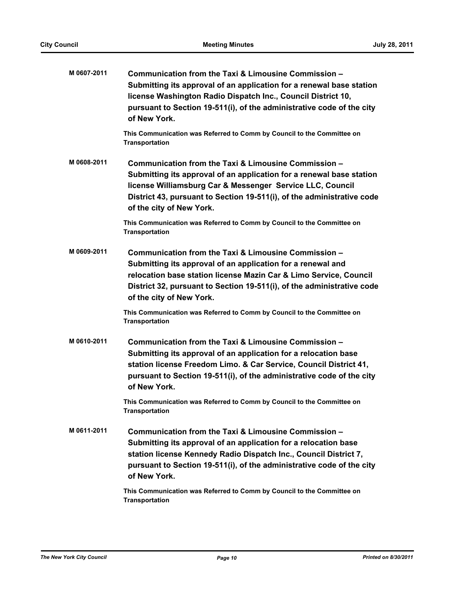| M 0607-2011 | Communication from the Taxi & Limousine Commission -<br>Submitting its approval of an application for a renewal base station<br>license Washington Radio Dispatch Inc., Council District 10,<br>pursuant to Section 19-511(i), of the administrative code of the city<br>of New York.           |
|-------------|-------------------------------------------------------------------------------------------------------------------------------------------------------------------------------------------------------------------------------------------------------------------------------------------------|
|             | This Communication was Referred to Comm by Council to the Committee on<br><b>Transportation</b>                                                                                                                                                                                                 |
| M 0608-2011 | Communication from the Taxi & Limousine Commission -<br>Submitting its approval of an application for a renewal base station<br>license Williamsburg Car & Messenger Service LLC, Council<br>District 43, pursuant to Section 19-511(i), of the administrative code<br>of the city of New York. |
|             | This Communication was Referred to Comm by Council to the Committee on<br><b>Transportation</b>                                                                                                                                                                                                 |
| M 0609-2011 | Communication from the Taxi & Limousine Commission -<br>Submitting its approval of an application for a renewal and<br>relocation base station license Mazin Car & Limo Service, Council<br>District 32, pursuant to Section 19-511(i), of the administrative code<br>of the city of New York.  |
|             | This Communication was Referred to Comm by Council to the Committee on<br><b>Transportation</b>                                                                                                                                                                                                 |
| M 0610-2011 | Communication from the Taxi & Limousine Commission -<br>Submitting its approval of an application for a relocation base<br>station license Freedom Limo. & Car Service, Council District 41,<br>pursuant to Section 19-511(i), of the administrative code of the city<br>of New York.           |
|             | This Communication was Referred to Comm by Council to the Committee on<br><b>Transportation</b>                                                                                                                                                                                                 |
| M 0611-2011 | Communication from the Taxi & Limousine Commission -<br>Submitting its approval of an application for a relocation base<br>station license Kennedy Radio Dispatch Inc., Council District 7,<br>pursuant to Section 19-511(i), of the administrative code of the city<br>of New York.            |
|             | This Communication was Referred to Comm by Council to the Committee on<br><b>Transportation</b>                                                                                                                                                                                                 |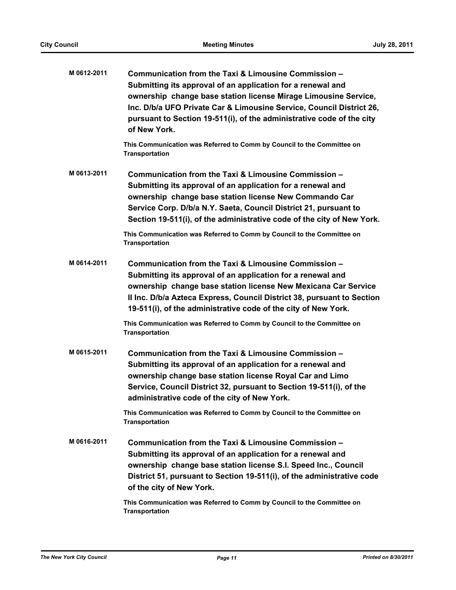| M 0612-2011 | Communication from the Taxi & Limousine Commission -<br>Submitting its approval of an application for a renewal and<br>ownership change base station license Mirage Limousine Service,<br>Inc. D/b/a UFO Private Car & Limousine Service, Council District 26,<br>pursuant to Section 19-511(i), of the administrative code of the city<br>of New York.                                                                              |
|-------------|--------------------------------------------------------------------------------------------------------------------------------------------------------------------------------------------------------------------------------------------------------------------------------------------------------------------------------------------------------------------------------------------------------------------------------------|
|             | This Communication was Referred to Comm by Council to the Committee on<br><b>Transportation</b>                                                                                                                                                                                                                                                                                                                                      |
| M 0613-2011 | Communication from the Taxi & Limousine Commission -<br>Submitting its approval of an application for a renewal and<br>ownership change base station license New Commando Car<br>Service Corp. D/b/a N.Y. Saeta, Council District 21, pursuant to<br>Section 19-511(i), of the administrative code of the city of New York.                                                                                                          |
|             | This Communication was Referred to Comm by Council to the Committee on<br><b>Transportation</b>                                                                                                                                                                                                                                                                                                                                      |
| M0614-2011  | Communication from the Taxi & Limousine Commission -<br>Submitting its approval of an application for a renewal and<br>ownership change base station license New Mexicana Car Service<br>Il Inc. D/b/a Azteca Express, Council District 38, pursuant to Section<br>19-511(i), of the administrative code of the city of New York.<br>This Communication was Referred to Comm by Council to the Committee on<br><b>Transportation</b> |
| M 0615-2011 | Communication from the Taxi & Limousine Commission -<br>Submitting its approval of an application for a renewal and<br>ownership change base station license Royal Car and Limo<br>Service, Council District 32, pursuant to Section 19-511(i), of the<br>administrative code of the city of New York.                                                                                                                               |
|             | This Communication was Referred to Comm by Council to the Committee on<br><b>Transportation</b>                                                                                                                                                                                                                                                                                                                                      |
| M 0616-2011 | Communication from the Taxi & Limousine Commission -<br>Submitting its approval of an application for a renewal and<br>ownership change base station license S.I. Speed Inc., Council<br>District 51, pursuant to Section 19-511(i), of the administrative code<br>of the city of New York.                                                                                                                                          |
|             | This Communication was Referred to Comm by Council to the Committee on<br><b>Transportation</b>                                                                                                                                                                                                                                                                                                                                      |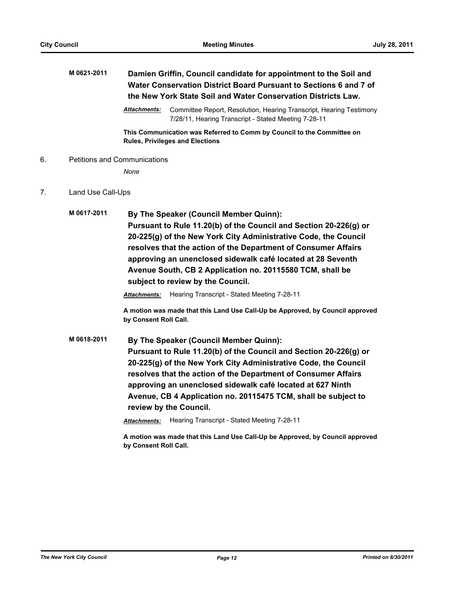## **M 0621-2011 Damien Griffin, Council candidate for appointment to the Soil and Water Conservation District Board Pursuant to Sections 6 and 7 of the New York State Soil and Water Conservation Districts Law.**

*Attachments:* Committee Report, Resolution, Hearing Transcript, Hearing Testimony 7/28/11, Hearing Transcript - Stated Meeting 7-28-11

**This Communication was Referred to Comm by Council to the Committee on Rules, Privileges and Elections**

6. Petitions and Communications

*None*

- 7. Land Use Call-Ups
	- **M 0617-2011 By The Speaker (Council Member Quinn): Pursuant to Rule 11.20(b) of the Council and Section 20-226(g) or 20-225(g) of the New York City Administrative Code, the Council resolves that the action of the Department of Consumer Affairs approving an unenclosed sidewalk café located at 28 Seventh Avenue South, CB 2 Application no. 20115580 TCM, shall be subject to review by the Council.**

*Attachments:* Hearing Transcript - Stated Meeting 7-28-11

**A motion was made that this Land Use Call-Up be Approved, by Council approved by Consent Roll Call.**

**M 0618-2011 By The Speaker (Council Member Quinn): Pursuant to Rule 11.20(b) of the Council and Section 20-226(g) or 20-225(g) of the New York City Administrative Code, the Council resolves that the action of the Department of Consumer Affairs approving an unenclosed sidewalk café located at 627 Ninth Avenue, CB 4 Application no. 20115475 TCM, shall be subject to review by the Council.**

*Attachments:* Hearing Transcript - Stated Meeting 7-28-11

**A motion was made that this Land Use Call-Up be Approved, by Council approved by Consent Roll Call.**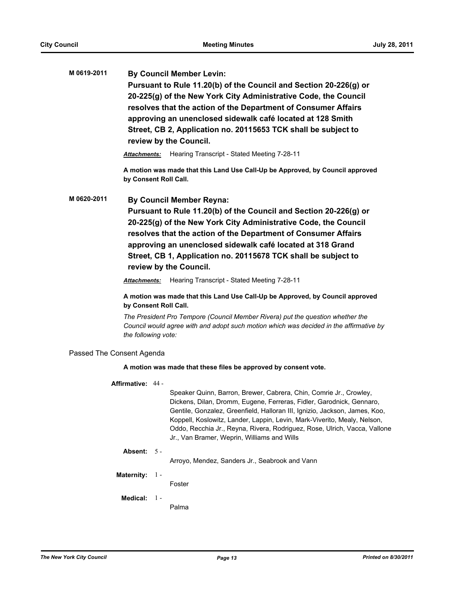**M 0619-2011 By Council Member Levin: Pursuant to Rule 11.20(b) of the Council and Section 20-226(g) or 20-225(g) of the New York City Administrative Code, the Council resolves that the action of the Department of Consumer Affairs approving an unenclosed sidewalk café located at 128 Smith Street, CB 2, Application no. 20115653 TCK shall be subject to review by the Council.**

*Attachments:* Hearing Transcript - Stated Meeting 7-28-11

**A motion was made that this Land Use Call-Up be Approved, by Council approved by Consent Roll Call.**

**M 0620-2011 By Council Member Reyna:**

**Pursuant to Rule 11.20(b) of the Council and Section 20-226(g) or 20-225(g) of the New York City Administrative Code, the Council resolves that the action of the Department of Consumer Affairs approving an unenclosed sidewalk café located at 318 Grand Street, CB 1, Application no. 20115678 TCK shall be subject to review by the Council.**

*Attachments:* Hearing Transcript - Stated Meeting 7-28-11

**A motion was made that this Land Use Call-Up be Approved, by Council approved by Consent Roll Call.**

*The President Pro Tempore (Council Member Rivera) put the question whether the Council would agree with and adopt such motion which was decided in the affirmative by the following vote:*

#### Passed The Consent Agenda

#### **A motion was made that these files be approved by consent vote.**

| <b>Affirmative:</b> | 44 - |  |
|---------------------|------|--|
|---------------------|------|--|

Speaker Quinn, Barron, Brewer, Cabrera, Chin, Comrie Jr., Crowley, Dickens, Dilan, Dromm, Eugene, Ferreras, Fidler, Garodnick, Gennaro, Gentile, Gonzalez, Greenfield, Halloran III, Ignizio, Jackson, James, Koo, Koppell, Koslowitz, Lander, Lappin, Levin, Mark-Viverito, Mealy, Nelson, Oddo, Recchia Jr., Reyna, Rivera, Rodriguez, Rose, Ulrich, Vacca, Vallone Jr., Van Bramer, Weprin, Williams and Wills

#### **Absent:** 5 -

Arroyo, Mendez, Sanders Jr., Seabrook and Vann

#### **Maternity:** 1 -

Foster

#### **Medical:** 1 -

Palma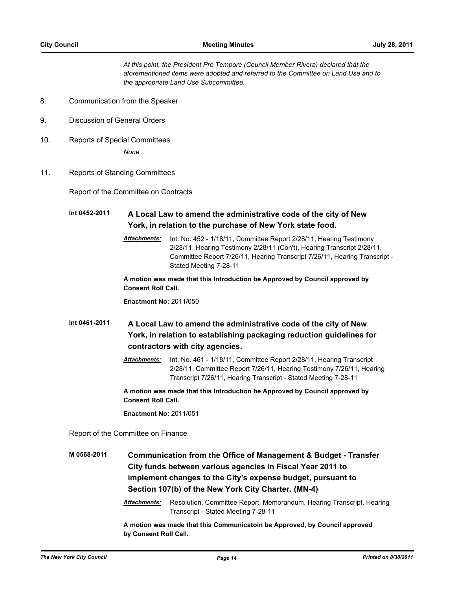*At this point, the President Pro Tempore (Council Member Rivera) declared that the aforementioned items were adopted and referred to the Committee on Land Use and to the appropriate Land Use Subcommittee.*

- 8. Communication from the Speaker
- 9. Discussion of General Orders
- 10. Reports of Special Committees *None*
- 11. Reports of Standing Committees

Report of the Committee on Contracts

**Int 0452-2011 A Local Law to amend the administrative code of the city of New York, in relation to the purchase of New York state food.**

> *Attachments:* Int. No. 452 - 1/18/11, Committee Report 2/28/11, Hearing Testimony 2/28/11, Hearing Testimony 2/28/11 (Con't), Hearing Transcript 2/28/11, Committee Report 7/26/11, Hearing Transcript 7/26/11, Hearing Transcript - Stated Meeting 7-28-11

**A motion was made that this Introduction be Approved by Council approved by Consent Roll Call.**

**Enactment No:** 2011/050

**Int 0461-2011 A Local Law to amend the administrative code of the city of New York, in relation to establishing packaging reduction guidelines for contractors with city agencies.**

> *Attachments:* Int. No. 461 - 1/18/11, Committee Report 2/28/11, Hearing Transcript 2/28/11, Committee Report 7/26/11, Hearing Testimony 7/26/11, Hearing Transcript 7/26/11, Hearing Transcript - Stated Meeting 7-28-11

**A motion was made that this Introduction be Approved by Council approved by Consent Roll Call.**

**Enactment No:** 2011/051

Report of the Committee on Finance

**M 0568-2011 Communication from the Office of Management & Budget - Transfer City funds between various agencies in Fiscal Year 2011 to implement changes to the City's expense budget, pursuant to Section 107(b) of the New York City Charter. (MN-4)**

> *Attachments:* Resolution, Committee Report, Memorandum, Hearing Transcript, Hearing Transcript - Stated Meeting 7-28-11

**A motion was made that this Communicatoin be Approved, by Council approved by Consent Roll Call.**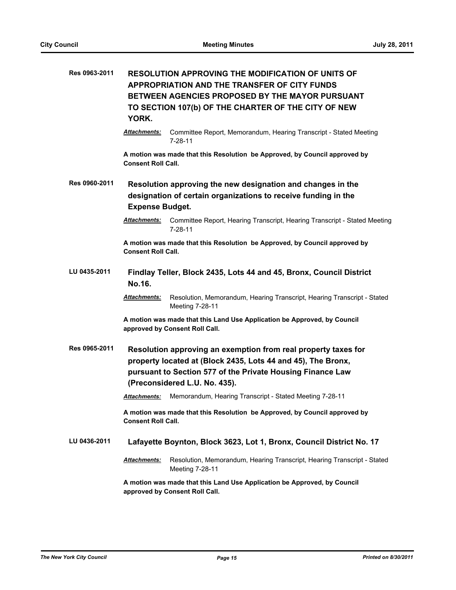| Res 0963-2011 | <b>RESOLUTION APPROVING THE MODIFICATION OF UNITS OF</b><br><b>APPROPRIATION AND THE TRANSFER OF CITY FUNDS</b><br>BETWEEN AGENCIES PROPOSED BY THE MAYOR PURSUANT<br>TO SECTION 107(b) OF THE CHARTER OF THE CITY OF NEW<br>YORK. |
|---------------|------------------------------------------------------------------------------------------------------------------------------------------------------------------------------------------------------------------------------------|
|               | Committee Report, Memorandum, Hearing Transcript - Stated Meeting<br>Attachments:<br>$7 - 28 - 11$                                                                                                                                 |
|               | A motion was made that this Resolution be Approved, by Council approved by<br><b>Consent Roll Call.</b>                                                                                                                            |
| Res 0960-2011 | Resolution approving the new designation and changes in the<br>designation of certain organizations to receive funding in the<br><b>Expense Budget.</b>                                                                            |
|               | Committee Report, Hearing Transcript, Hearing Transcript - Stated Meeting<br><b>Attachments:</b><br>$7 - 28 - 11$                                                                                                                  |
|               | A motion was made that this Resolution be Approved, by Council approved by<br><b>Consent Roll Call.</b>                                                                                                                            |
| LU 0435-2011  | Findlay Teller, Block 2435, Lots 44 and 45, Bronx, Council District<br>No.16.                                                                                                                                                      |
|               | <b>Attachments:</b><br>Resolution, Memorandum, Hearing Transcript, Hearing Transcript - Stated<br>Meeting 7-28-11                                                                                                                  |
|               | A motion was made that this Land Use Application be Approved, by Council<br>approved by Consent Roll Call.                                                                                                                         |
| Res 0965-2011 | Resolution approving an exemption from real property taxes for<br>property located at (Block 2435, Lots 44 and 45), The Bronx,<br>pursuant to Section 577 of the Private Housing Finance Law<br>(Preconsidered L.U. No. 435).      |
|               | Memorandum, Hearing Transcript - Stated Meeting 7-28-11<br><b>Attachments:</b>                                                                                                                                                     |
|               | A motion was made that this Resolution be Approved, by Council approved by<br><b>Consent Roll Call.</b>                                                                                                                            |
| LU 0436-2011  | Lafayette Boynton, Block 3623, Lot 1, Bronx, Council District No. 17                                                                                                                                                               |
|               | Resolution, Memorandum, Hearing Transcript, Hearing Transcript - Stated<br>Attachments:<br>Meeting 7-28-11                                                                                                                         |
|               | A motion was made that this Land Use Application be Approved, by Council<br>approved by Consent Roll Call.                                                                                                                         |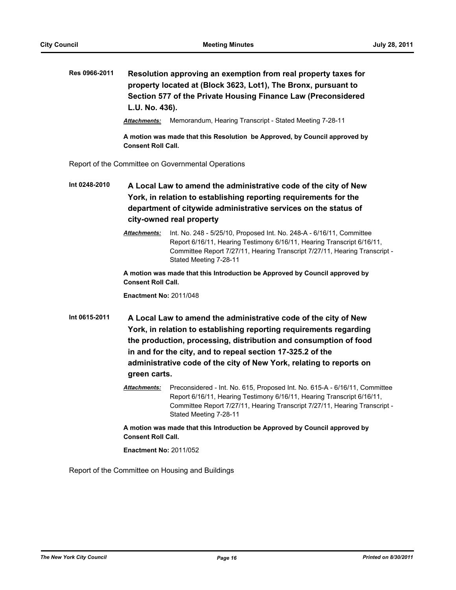## **Res 0966-2011 Resolution approving an exemption from real property taxes for property located at (Block 3623, Lot1), The Bronx, pursuant to Section 577 of the Private Housing Finance Law (Preconsidered L.U. No. 436).**

*Attachments:* Memorandum, Hearing Transcript - Stated Meeting 7-28-11

**A motion was made that this Resolution be Approved, by Council approved by Consent Roll Call.**

Report of the Committee on Governmental Operations

**Int 0248-2010 A Local Law to amend the administrative code of the city of New York, in relation to establishing reporting requirements for the department of citywide administrative services on the status of city-owned real property**

> *Attachments:* Int. No. 248 - 5/25/10, Proposed Int. No. 248-A - 6/16/11, Committee Report 6/16/11, Hearing Testimony 6/16/11, Hearing Transcript 6/16/11, Committee Report 7/27/11, Hearing Transcript 7/27/11, Hearing Transcript - Stated Meeting 7-28-11

**A motion was made that this Introduction be Approved by Council approved by Consent Roll Call.**

**Enactment No:** 2011/048

- **Int 0615-2011 A Local Law to amend the administrative code of the city of New York, in relation to establishing reporting requirements regarding the production, processing, distribution and consumption of food in and for the city, and to repeal section 17-325.2 of the administrative code of the city of New York, relating to reports on green carts.**
	- *Attachments:* Preconsidered Int. No. 615, Proposed Int. No. 615-A 6/16/11, Committee Report 6/16/11, Hearing Testimony 6/16/11, Hearing Transcript 6/16/11, Committee Report 7/27/11, Hearing Transcript 7/27/11, Hearing Transcript - Stated Meeting 7-28-11

**A motion was made that this Introduction be Approved by Council approved by Consent Roll Call.**

**Enactment No:** 2011/052

Report of the Committee on Housing and Buildings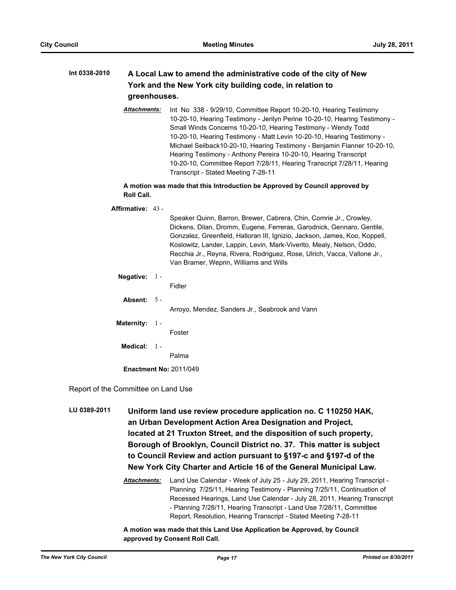### **Int 0338-2010 A Local Law to amend the administrative code of the city of New York and the New York city building code, in relation to greenhouses.**

*Attachments:* Int No 338 - 9/29/10, Committee Report 10-20-10, Hearing Testimony 10-20-10, Hearing Testimony - Jerilyn Perine 10-20-10, Hearing Testimony - Small Winds Concerns 10-20-10, Hearing Testimony - Wendy Todd 10-20-10, Hearing Testimony - Matt Levin 10-20-10, Hearing Testimony - Michael Seilback10-20-10, Hearing Testimony - Benjamin Flanner 10-20-10, Hearing Testimony - Anthony Pereira 10-20-10, Hearing Transcript 10-20-10, Committee Report 7/28/11, Hearing Transcript 7/28/11, Hearing Transcript - Stated Meeting 7-28-11

**A motion was made that this Introduction be Approved by Council approved by Roll Call.**

**Affirmative:** 43 - Speaker Quinn, Barron, Brewer, Cabrera, Chin, Comrie Jr., Crowley, Dickens, Dilan, Dromm, Eugene, Ferreras, Garodnick, Gennaro, Gentile, Gonzalez, Greenfield, Halloran III, Ignizio, Jackson, James, Koo, Koppell, Koslowitz, Lander, Lappin, Levin, Mark-Viverito, Mealy, Nelson, Oddo, Recchia Jr., Reyna, Rivera, Rodriguez, Rose, Ulrich, Vacca, Vallone Jr., Van Bramer, Weprin, Williams and Wills **Negative:** 1 - Fidler **Absent:** 5 - Arroyo, Mendez, Sanders Jr., Seabrook and Vann **Maternity:** 1 - Foster **Medical:** 1 - Palma **Enactment No:** 2011/049

Report of the Committee on Land Use

**LU 0389-2011 Uniform land use review procedure application no. C 110250 HAK, an Urban Development Action Area Designation and Project, located at 21 Truxton Street, and the disposition of such property, Borough of Brooklyn, Council District no. 37. This matter is subject to Council Review and action pursuant to §197-c and §197-d of the New York City Charter and Article 16 of the General Municipal Law.**

> *Attachments:* Land Use Calendar - Week of July 25 - July 29, 2011, Hearing Transcript - Planning 7/25/11, Hearing Testimony - Planning 7/25/11, Continuation of Recessed Hearings, Land Use Calendar - July 28, 2011, Hearing Transcript - Planning 7/28/11, Hearing Transcript - Land Use 7/28/11, Committee Report, Resolution, Hearing Transcript - Stated Meeting 7-28-11

**A motion was made that this Land Use Application be Approved, by Council approved by Consent Roll Call.**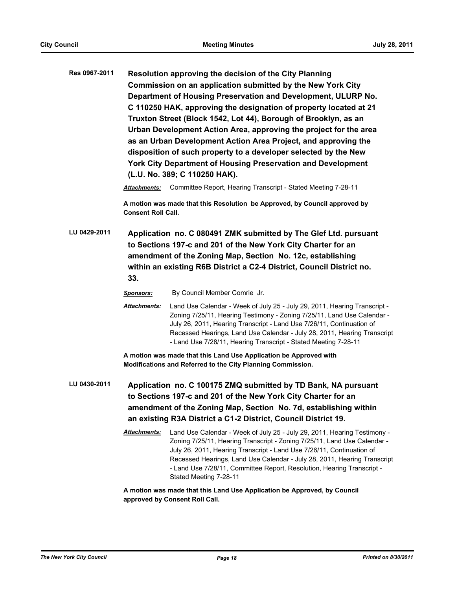**Res 0967-2011 Resolution approving the decision of the City Planning Commission on an application submitted by the New York City Department of Housing Preservation and Development, ULURP No. C 110250 HAK, approving the designation of property located at 21 Truxton Street (Block 1542, Lot 44), Borough of Brooklyn, as an Urban Development Action Area, approving the project for the area as an Urban Development Action Area Project, and approving the disposition of such property to a developer selected by the New York City Department of Housing Preservation and Development (L.U. No. 389; C 110250 HAK).**

*Attachments:* Committee Report, Hearing Transcript - Stated Meeting 7-28-11

**A motion was made that this Resolution be Approved, by Council approved by Consent Roll Call.**

**LU 0429-2011 Application no. C 080491 ZMK submitted by The Glef Ltd. pursuant to Sections 197-c and 201 of the New York City Charter for an amendment of the Zoning Map, Section No. 12c, establishing within an existing R6B District a C2-4 District, Council District no. 33.**

*Sponsors:* By Council Member Comrie Jr.

*Attachments:* Land Use Calendar - Week of July 25 - July 29, 2011, Hearing Transcript - Zoning 7/25/11, Hearing Testimony - Zoning 7/25/11, Land Use Calendar - July 26, 2011, Hearing Transcript - Land Use 7/26/11, Continuation of Recessed Hearings, Land Use Calendar - July 28, 2011, Hearing Transcript - Land Use 7/28/11, Hearing Transcript - Stated Meeting 7-28-11

**A motion was made that this Land Use Application be Approved with Modifications and Referred to the City Planning Commission.**

- **LU 0430-2011 Application no. C 100175 ZMQ submitted by TD Bank, NA pursuant to Sections 197-c and 201 of the New York City Charter for an amendment of the Zoning Map, Section No. 7d, establishing within an existing R3A District a C1-2 District, Council District 19.**
	- *Attachments:* Land Use Calendar Week of July 25 July 29, 2011, Hearing Testimony Zoning 7/25/11, Hearing Transcript - Zoning 7/25/11, Land Use Calendar - July 26, 2011, Hearing Transcript - Land Use 7/26/11, Continuation of Recessed Hearings, Land Use Calendar - July 28, 2011, Hearing Transcript - Land Use 7/28/11, Committee Report, Resolution, Hearing Transcript - Stated Meeting 7-28-11

**A motion was made that this Land Use Application be Approved, by Council approved by Consent Roll Call.**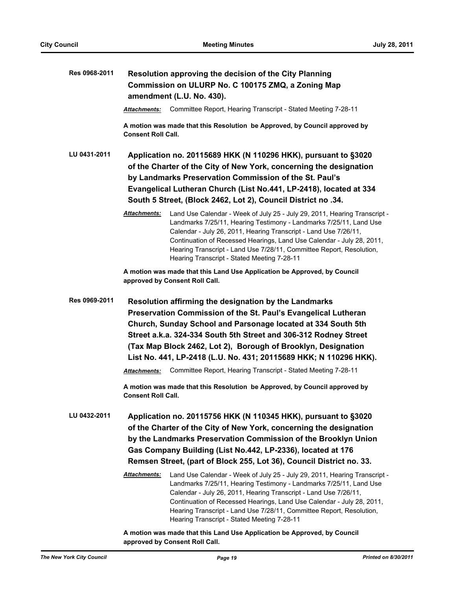| Res 0968-2011 | Resolution approving the decision of the City Planning<br>Commission on ULURP No. C 100175 ZMQ, a Zoning Map<br>amendment (L.U. No. 430).                                                                                                                                                                                                                                                                                                                                                                                                                                                     |  |  |
|---------------|-----------------------------------------------------------------------------------------------------------------------------------------------------------------------------------------------------------------------------------------------------------------------------------------------------------------------------------------------------------------------------------------------------------------------------------------------------------------------------------------------------------------------------------------------------------------------------------------------|--|--|
|               | Committee Report, Hearing Transcript - Stated Meeting 7-28-11<br><b>Attachments:</b>                                                                                                                                                                                                                                                                                                                                                                                                                                                                                                          |  |  |
|               | A motion was made that this Resolution be Approved, by Council approved by<br><b>Consent Roll Call.</b>                                                                                                                                                                                                                                                                                                                                                                                                                                                                                       |  |  |
| LU 0431-2011  | Application no. 20115689 HKK (N 110296 HKK), pursuant to §3020<br>of the Charter of the City of New York, concerning the designation<br>by Landmarks Preservation Commission of the St. Paul's<br>Evangelical Lutheran Church (List No.441, LP-2418), located at 334<br>South 5 Street, (Block 2462, Lot 2), Council District no .34.                                                                                                                                                                                                                                                         |  |  |
|               | Land Use Calendar - Week of July 25 - July 29, 2011, Hearing Transcript -<br>Attachments:<br>Landmarks 7/25/11, Hearing Testimony - Landmarks 7/25/11, Land Use<br>Calendar - July 26, 2011, Hearing Transcript - Land Use 7/26/11,<br>Continuation of Recessed Hearings, Land Use Calendar - July 28, 2011,<br>Hearing Transcript - Land Use 7/28/11, Committee Report, Resolution,<br>Hearing Transcript - Stated Meeting 7-28-11                                                                                                                                                           |  |  |
|               | A motion was made that this Land Use Application be Approved, by Council<br>approved by Consent Roll Call.                                                                                                                                                                                                                                                                                                                                                                                                                                                                                    |  |  |
| Res 0969-2011 | Resolution affirming the designation by the Landmarks<br>Preservation Commission of the St. Paul's Evangelical Lutheran<br>Church, Sunday School and Parsonage located at 334 South 5th<br>Street a.k.a. 324-334 South 5th Street and 306-312 Rodney Street<br>(Tax Map Block 2462, Lot 2), Borough of Brooklyn, Designation<br>List No. 441, LP-2418 (L.U. No. 431; 20115689 HKK; N 110296 HKK).<br>Committee Report, Hearing Transcript - Stated Meeting 7-28-11<br>Attachments:<br>A motion was made that this Resolution be Approved, by Council approved by<br><b>Consent Roll Call.</b> |  |  |
| LU 0432-2011  | Application no. 20115756 HKK (N 110345 HKK), pursuant to §3020<br>of the Charter of the City of New York, concerning the designation<br>by the Landmarks Preservation Commission of the Brooklyn Union<br>Gas Company Building (List No.442, LP-2336), located at 176<br>Remsen Street, (part of Block 255, Lot 36), Council District no. 33.                                                                                                                                                                                                                                                 |  |  |
|               | Attachments:<br>Land Use Calendar - Week of July 25 - July 29, 2011, Hearing Transcript -<br>Landmarks 7/25/11, Hearing Testimony - Landmarks 7/25/11, Land Use<br>Calendar - July 26, 2011, Hearing Transcript - Land Use 7/26/11,<br>Continuation of Recessed Hearings, Land Use Calendar - July 28, 2011,<br>Hearing Transcript - Land Use 7/28/11, Committee Report, Resolution,<br>Hearing Transcript - Stated Meeting 7-28-11                                                                                                                                                           |  |  |
|               | A motion was made that this Land Use Application be Approved, by Council                                                                                                                                                                                                                                                                                                                                                                                                                                                                                                                      |  |  |

**approved by Consent Roll Call.**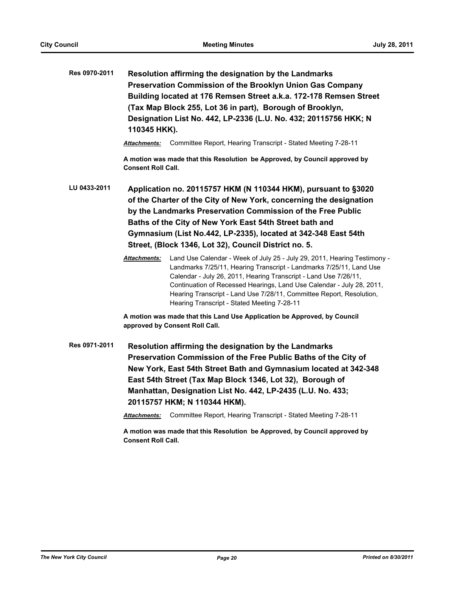| Res 0970-2011 | 110345 HKK).                                                                                                                                                                                                                                                                                                                                                                              | Resolution affirming the designation by the Landmarks<br>Preservation Commission of the Brooklyn Union Gas Company<br>Building located at 176 Remsen Street a.k.a. 172-178 Remsen Street<br>(Tax Map Block 255, Lot 36 in part), Borough of Brooklyn,<br>Designation List No. 442, LP-2336 (L.U. No. 432; 20115756 HKK; N                                                                                                 |  |
|---------------|-------------------------------------------------------------------------------------------------------------------------------------------------------------------------------------------------------------------------------------------------------------------------------------------------------------------------------------------------------------------------------------------|---------------------------------------------------------------------------------------------------------------------------------------------------------------------------------------------------------------------------------------------------------------------------------------------------------------------------------------------------------------------------------------------------------------------------|--|
|               |                                                                                                                                                                                                                                                                                                                                                                                           | <b>Attachments:</b> Committee Report, Hearing Transcript - Stated Meeting 7-28-11                                                                                                                                                                                                                                                                                                                                         |  |
|               | <b>Consent Roll Call.</b>                                                                                                                                                                                                                                                                                                                                                                 | A motion was made that this Resolution be Approved, by Council approved by                                                                                                                                                                                                                                                                                                                                                |  |
| LU 0433-2011  | Application no. 20115757 HKM (N 110344 HKM), pursuant to §3020<br>of the Charter of the City of New York, concerning the designation<br>by the Landmarks Preservation Commission of the Free Public<br>Baths of the City of New York East 54th Street bath and<br>Gymnasium (List No.442, LP-2335), located at 342-348 East 54th<br>Street, (Block 1346, Lot 32), Council District no. 5. |                                                                                                                                                                                                                                                                                                                                                                                                                           |  |
|               | <b>Attachments:</b>                                                                                                                                                                                                                                                                                                                                                                       | Land Use Calendar - Week of July 25 - July 29, 2011, Hearing Testimony -<br>Landmarks 7/25/11, Hearing Transcript - Landmarks 7/25/11, Land Use<br>Calendar - July 26, 2011, Hearing Transcript - Land Use 7/26/11,<br>Continuation of Recessed Hearings, Land Use Calendar - July 28, 2011,<br>Hearing Transcript - Land Use 7/28/11, Committee Report, Resolution,<br>Hearing Transcript - Stated Meeting 7-28-11       |  |
|               |                                                                                                                                                                                                                                                                                                                                                                                           | A motion was made that this Land Use Application be Approved, by Council<br>approved by Consent Roll Call.                                                                                                                                                                                                                                                                                                                |  |
| Res 0971-2011 | Attachments:                                                                                                                                                                                                                                                                                                                                                                              | Resolution affirming the designation by the Landmarks<br>Preservation Commission of the Free Public Baths of the City of<br>New York, East 54th Street Bath and Gymnasium located at 342-348<br>East 54th Street (Tax Map Block 1346, Lot 32), Borough of<br>Manhattan, Designation List No. 442, LP-2435 (L.U. No. 433;<br>20115757 HKM; N 110344 HKM).<br>Committee Report, Hearing Transcript - Stated Meeting 7-28-11 |  |

**A motion was made that this Resolution be Approved, by Council approved by Consent Roll Call.**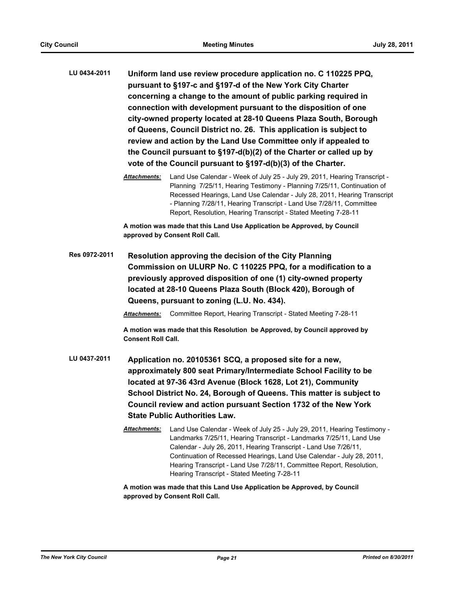- **LU 0434-2011 Uniform land use review procedure application no. C 110225 PPQ, pursuant to §197-c and §197-d of the New York City Charter concerning a change to the amount of public parking required in connection with development pursuant to the disposition of one city-owned property located at 28-10 Queens Plaza South, Borough of Queens, Council District no. 26. This application is subject to review and action by the Land Use Committee only if appealed to the Council pursuant to §197-d(b)(2) of the Charter or called up by vote of the Council pursuant to §197-d(b)(3) of the Charter.**
	- *Attachments:* Land Use Calendar Week of July 25 July 29, 2011, Hearing Transcript Planning 7/25/11, Hearing Testimony - Planning 7/25/11, Continuation of Recessed Hearings, Land Use Calendar - July 28, 2011, Hearing Transcript - Planning 7/28/11, Hearing Transcript - Land Use 7/28/11, Committee Report, Resolution, Hearing Transcript - Stated Meeting 7-28-11

**A motion was made that this Land Use Application be Approved, by Council approved by Consent Roll Call.**

**Res 0972-2011 Resolution approving the decision of the City Planning Commission on ULURP No. C 110225 PPQ, for a modification to a previously approved disposition of one (1) city-owned property located at 28-10 Queens Plaza South (Block 420), Borough of Queens, pursuant to zoning (L.U. No. 434).**

*Attachments:* Committee Report, Hearing Transcript - Stated Meeting 7-28-11

**A motion was made that this Resolution be Approved, by Council approved by Consent Roll Call.**

- **LU 0437-2011 Application no. 20105361 SCQ, a proposed site for a new, approximately 800 seat Primary/Intermediate School Facility to be located at 97-36 43rd Avenue (Block 1628, Lot 21), Community School District No. 24, Borough of Queens. This matter is subject to Council review and action pursuant Section 1732 of the New York State Public Authorities Law.**
	- *Attachments:* Land Use Calendar Week of July 25 July 29, 2011, Hearing Testimony Landmarks 7/25/11, Hearing Transcript - Landmarks 7/25/11, Land Use Calendar - July 26, 2011, Hearing Transcript - Land Use 7/26/11, Continuation of Recessed Hearings, Land Use Calendar - July 28, 2011, Hearing Transcript - Land Use 7/28/11, Committee Report, Resolution, Hearing Transcript - Stated Meeting 7-28-11

**A motion was made that this Land Use Application be Approved, by Council approved by Consent Roll Call.**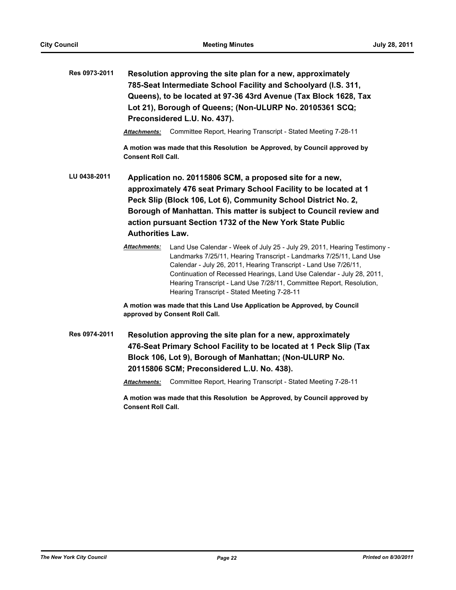| Res 0973-2011 | Resolution approving the site plan for a new, approximately<br>785-Seat Intermediate School Facility and Schoolyard (I.S. 311,<br>Queens), to be located at 97-36 43rd Avenue (Tax Block 1628, Tax<br>Lot 21), Borough of Queens; (Non-ULURP No. 20105361 SCQ;<br>Preconsidered L.U. No. 437).                                                                |                                                                                                                                                                                                                                                                                                                                                                                                                     |  |
|---------------|---------------------------------------------------------------------------------------------------------------------------------------------------------------------------------------------------------------------------------------------------------------------------------------------------------------------------------------------------------------|---------------------------------------------------------------------------------------------------------------------------------------------------------------------------------------------------------------------------------------------------------------------------------------------------------------------------------------------------------------------------------------------------------------------|--|
|               | Attachments:                                                                                                                                                                                                                                                                                                                                                  | Committee Report, Hearing Transcript - Stated Meeting 7-28-11                                                                                                                                                                                                                                                                                                                                                       |  |
|               | <b>Consent Roll Call.</b>                                                                                                                                                                                                                                                                                                                                     | A motion was made that this Resolution be Approved, by Council approved by                                                                                                                                                                                                                                                                                                                                          |  |
| LU 0438-2011  | Application no. 20115806 SCM, a proposed site for a new,<br>approximately 476 seat Primary School Facility to be located at 1<br>Peck Slip (Block 106, Lot 6), Community School District No. 2,<br>Borough of Manhattan. This matter is subject to Council review and<br>action pursuant Section 1732 of the New York State Public<br><b>Authorities Law.</b> |                                                                                                                                                                                                                                                                                                                                                                                                                     |  |
|               | Attachments:                                                                                                                                                                                                                                                                                                                                                  | Land Use Calendar - Week of July 25 - July 29, 2011, Hearing Testimony -<br>Landmarks 7/25/11, Hearing Transcript - Landmarks 7/25/11, Land Use<br>Calendar - July 26, 2011, Hearing Transcript - Land Use 7/26/11,<br>Continuation of Recessed Hearings, Land Use Calendar - July 28, 2011,<br>Hearing Transcript - Land Use 7/28/11, Committee Report, Resolution,<br>Hearing Transcript - Stated Meeting 7-28-11 |  |
|               |                                                                                                                                                                                                                                                                                                                                                               | A motion was made that this Land Use Application be Approved, by Council<br>approved by Consent Roll Call.                                                                                                                                                                                                                                                                                                          |  |
| Res 0974-2011 |                                                                                                                                                                                                                                                                                                                                                               | Resolution approving the site plan for a new, approximately<br>476-Seat Primary School Facility to be located at 1 Peck Slip (Tax<br>Block 106, Lot 9), Borough of Manhattan; (Non-ULURP No.<br>20115806 SCM; Preconsidered L.U. No. 438).                                                                                                                                                                          |  |

*Attachments:* Committee Report, Hearing Transcript - Stated Meeting 7-28-11

**A motion was made that this Resolution be Approved, by Council approved by Consent Roll Call.**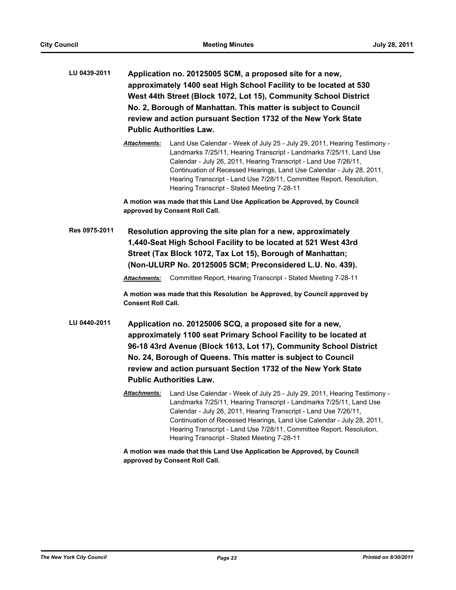- **LU 0439-2011 Application no. 20125005 SCM, a proposed site for a new, approximately 1400 seat High School Facility to be located at 530 West 44th Street (Block 1072, Lot 15), Community School District No. 2, Borough of Manhattan. This matter is subject to Council review and action pursuant Section 1732 of the New York State Public Authorities Law.**
	- *Attachments:* Land Use Calendar Week of July 25 July 29, 2011, Hearing Testimony Landmarks 7/25/11, Hearing Transcript - Landmarks 7/25/11, Land Use Calendar - July 26, 2011, Hearing Transcript - Land Use 7/26/11, Continuation of Recessed Hearings, Land Use Calendar - July 28, 2011, Hearing Transcript - Land Use 7/28/11, Committee Report, Resolution, Hearing Transcript - Stated Meeting 7-28-11

**A motion was made that this Land Use Application be Approved, by Council approved by Consent Roll Call.**

**Res 0975-2011 Resolution approving the site plan for a new, approximately 1,440-Seat High School Facility to be located at 521 West 43rd Street (Tax Block 1072, Tax Lot 15), Borough of Manhattan; (Non-ULURP No. 20125005 SCM; Preconsidered L.U. No. 439).**

*Attachments:* Committee Report, Hearing Transcript - Stated Meeting 7-28-11

**A motion was made that this Resolution be Approved, by Council approved by Consent Roll Call.**

- **LU 0440-2011 Application no. 20125006 SCQ, a proposed site for a new, approximately 1100 seat Primary School Facility to be located at 96-18 43rd Avenue (Block 1613, Lot 17), Community School District No. 24, Borough of Queens. This matter is subject to Council review and action pursuant Section 1732 of the New York State Public Authorities Law.**
	- *Attachments:* Land Use Calendar Week of July 25 July 29, 2011, Hearing Testimony Landmarks 7/25/11, Hearing Transcript - Landmarks 7/25/11, Land Use Calendar - July 26, 2011, Hearing Transcript - Land Use 7/26/11, Continuation of Recessed Hearings, Land Use Calendar - July 28, 2011, Hearing Transcript - Land Use 7/28/11, Committee Report, Resolution, Hearing Transcript - Stated Meeting 7-28-11

**A motion was made that this Land Use Application be Approved, by Council approved by Consent Roll Call.**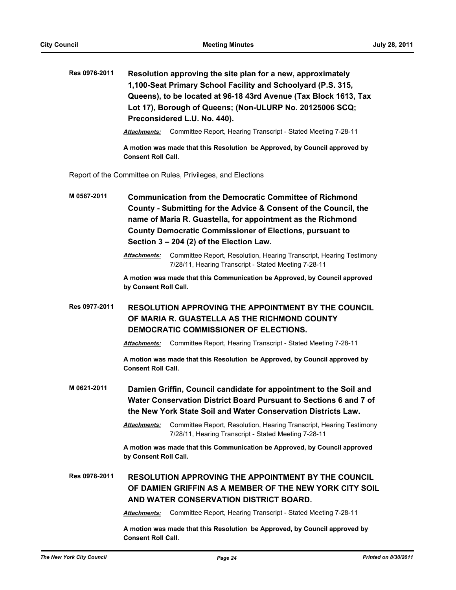**Res 0976-2011 Resolution approving the site plan for a new, approximately 1,100-Seat Primary School Facility and Schoolyard (P.S. 315, Queens), to be located at 96-18 43rd Avenue (Tax Block 1613, Tax Lot 17), Borough of Queens; (Non-ULURP No. 20125006 SCQ; Preconsidered L.U. No. 440).**

*Attachments:* Committee Report, Hearing Transcript - Stated Meeting 7-28-11

**A motion was made that this Resolution be Approved, by Council approved by Consent Roll Call.**

Report of the Committee on Rules, Privileges, and Elections

**M 0567-2011 Communication from the Democratic Committee of Richmond County - Submitting for the Advice & Consent of the Council, the name of Maria R. Guastella, for appointment as the Richmond County Democratic Commissioner of Elections, pursuant to Section 3 – 204 (2) of the Election Law.**

**A motion was made that this Communication be Approved, by Council approved by Consent Roll Call.**

**Res 0977-2011 RESOLUTION APPROVING THE APPOINTMENT BY THE COUNCIL OF MARIA R. GUASTELLA AS THE RICHMOND COUNTY DEMOCRATIC COMMISSIONER OF ELECTIONS.**

*Attachments:* Committee Report, Hearing Transcript - Stated Meeting 7-28-11

**A motion was made that this Resolution be Approved, by Council approved by Consent Roll Call.**

**M 0621-2011 Damien Griffin, Council candidate for appointment to the Soil and Water Conservation District Board Pursuant to Sections 6 and 7 of the New York State Soil and Water Conservation Districts Law.**

> *Attachments:* Committee Report, Resolution, Hearing Transcript, Hearing Testimony 7/28/11, Hearing Transcript - Stated Meeting 7-28-11

**A motion was made that this Communication be Approved, by Council approved by Consent Roll Call.**

**Res 0978-2011 RESOLUTION APPROVING THE APPOINTMENT BY THE COUNCIL OF DAMIEN GRIFFIN AS A MEMBER OF THE NEW YORK CITY SOIL AND WATER CONSERVATION DISTRICT BOARD.**

*Attachments:* Committee Report, Hearing Transcript - Stated Meeting 7-28-11

**A motion was made that this Resolution be Approved, by Council approved by Consent Roll Call.**

*Attachments:* Committee Report, Resolution, Hearing Transcript, Hearing Testimony 7/28/11, Hearing Transcript - Stated Meeting 7-28-11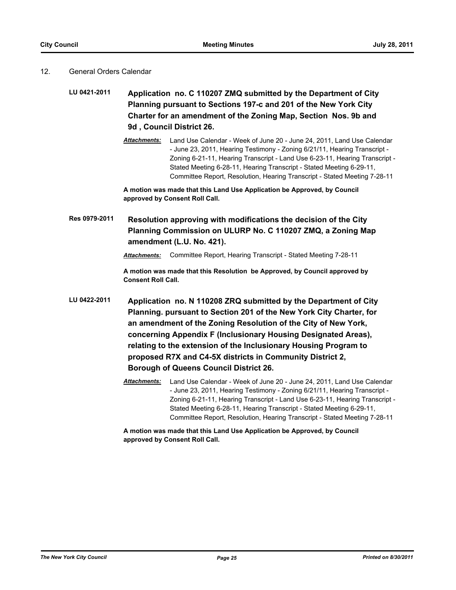#### 12. General Orders Calendar

**LU 0421-2011 Application no. C 110207 ZMQ submitted by the Department of City Planning pursuant to Sections 197-c and 201 of the New York City Charter for an amendment of the Zoning Map, Section Nos. 9b and 9d , Council District 26.**

> *Attachments:* Land Use Calendar - Week of June 20 - June 24, 2011, Land Use Calendar - June 23, 2011, Hearing Testimony - Zoning 6/21/11, Hearing Transcript - Zoning 6-21-11, Hearing Transcript - Land Use 6-23-11, Hearing Transcript - Stated Meeting 6-28-11, Hearing Transcript - Stated Meeting 6-29-11, Committee Report, Resolution, Hearing Transcript - Stated Meeting 7-28-11

**A motion was made that this Land Use Application be Approved, by Council approved by Consent Roll Call.**

**Res 0979-2011 Resolution approving with modifications the decision of the City Planning Commission on ULURP No. C 110207 ZMQ, a Zoning Map amendment (L.U. No. 421).**

*Attachments:* Committee Report, Hearing Transcript - Stated Meeting 7-28-11

**A motion was made that this Resolution be Approved, by Council approved by Consent Roll Call.**

- **LU 0422-2011 Application no. N 110208 ZRQ submitted by the Department of City Planning. pursuant to Section 201 of the New York City Charter, for an amendment of the Zoning Resolution of the City of New York, concerning Appendix F (Inclusionary Housing Designated Areas), relating to the extension of the Inclusionary Housing Program to proposed R7X and C4-5X districts in Community District 2, Borough of Queens Council District 26.**
	- *Attachments:* Land Use Calendar Week of June 20 June 24, 2011, Land Use Calendar - June 23, 2011, Hearing Testimony - Zoning 6/21/11, Hearing Transcript - Zoning 6-21-11, Hearing Transcript - Land Use 6-23-11, Hearing Transcript - Stated Meeting 6-28-11, Hearing Transcript - Stated Meeting 6-29-11, Committee Report, Resolution, Hearing Transcript - Stated Meeting 7-28-11

**A motion was made that this Land Use Application be Approved, by Council approved by Consent Roll Call.**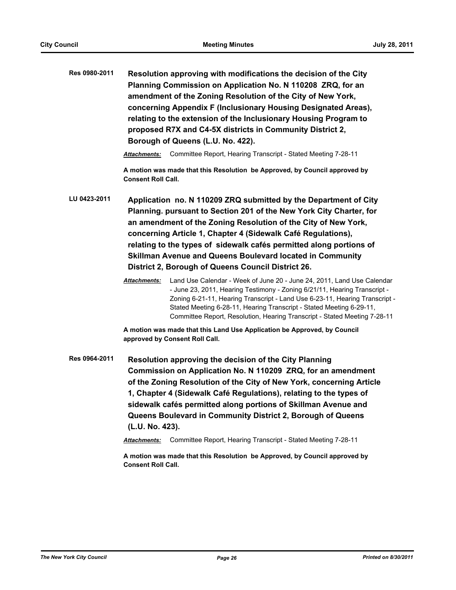**Res 0980-2011 Resolution approving with modifications the decision of the City Planning Commission on Application No. N 110208 ZRQ, for an amendment of the Zoning Resolution of the City of New York, concerning Appendix F (Inclusionary Housing Designated Areas), relating to the extension of the Inclusionary Housing Program to proposed R7X and C4-5X districts in Community District 2, Borough of Queens (L.U. No. 422).**

*Attachments:* Committee Report, Hearing Transcript - Stated Meeting 7-28-11

**A motion was made that this Resolution be Approved, by Council approved by Consent Roll Call.**

**LU 0423-2011 Application no. N 110209 ZRQ submitted by the Department of City Planning. pursuant to Section 201 of the New York City Charter, for an amendment of the Zoning Resolution of the City of New York, concerning Article 1, Chapter 4 (Sidewalk Café Regulations), relating to the types of sidewalk cafés permitted along portions of Skillman Avenue and Queens Boulevard located in Community District 2, Borough of Queens Council District 26.**

> *Attachments:* Land Use Calendar - Week of June 20 - June 24, 2011, Land Use Calendar - June 23, 2011, Hearing Testimony - Zoning 6/21/11, Hearing Transcript - Zoning 6-21-11, Hearing Transcript - Land Use 6-23-11, Hearing Transcript - Stated Meeting 6-28-11, Hearing Transcript - Stated Meeting 6-29-11, Committee Report, Resolution, Hearing Transcript - Stated Meeting 7-28-11

**A motion was made that this Land Use Application be Approved, by Council approved by Consent Roll Call.**

**Res 0964-2011 Resolution approving the decision of the City Planning Commission on Application No. N 110209 ZRQ, for an amendment of the Zoning Resolution of the City of New York, concerning Article 1, Chapter 4 (Sidewalk Café Regulations), relating to the types of sidewalk cafés permitted along portions of Skillman Avenue and Queens Boulevard in Community District 2, Borough of Queens (L.U. No. 423).**

*Attachments:* Committee Report, Hearing Transcript - Stated Meeting 7-28-11

**A motion was made that this Resolution be Approved, by Council approved by Consent Roll Call.**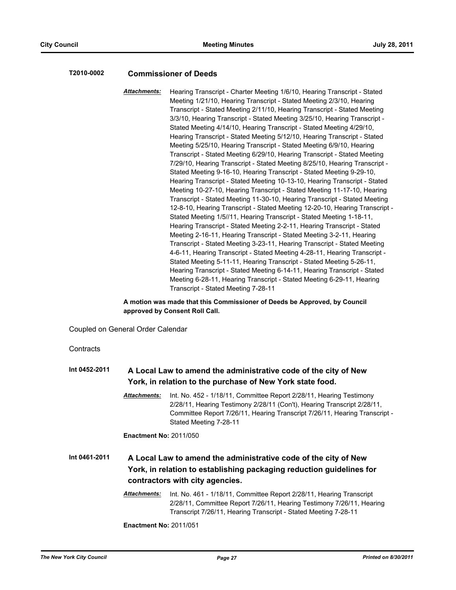#### **T2010-0002 Commissioner of Deeds**

*Attachments:* Hearing Transcript - Charter Meeting 1/6/10, Hearing Transcript - Stated Meeting 1/21/10, Hearing Transcript - Stated Meeting 2/3/10, Hearing Transcript - Stated Meeting 2/11/10, Hearing Transcript - Stated Meeting 3/3/10, Hearing Transcript - Stated Meeting 3/25/10, Hearing Transcript - Stated Meeting 4/14/10, Hearing Transcript - Stated Meeting 4/29/10, Hearing Transcript - Stated Meeting 5/12/10, Hearing Transcript - Stated Meeting 5/25/10, Hearing Transcript - Stated Meeting 6/9/10, Hearing Transcript - Stated Meeting 6/29/10, Hearing Transcript - Stated Meeting 7/29/10, Hearing Transcript - Stated Meeting 8/25/10, Hearing Transcript - Stated Meeting 9-16-10, Hearing Transcript - Stated Meeting 9-29-10, Hearing Transcript - Stated Meeting 10-13-10, Hearing Transcript - Stated Meeting 10-27-10, Hearing Transcript - Stated Meeting 11-17-10, Hearing Transcript - Stated Meeting 11-30-10, Hearing Transcript - Stated Meeting 12-8-10, Hearing Transcript - Stated Meeting 12-20-10, Hearing Transcript - Stated Meeting 1/5//11, Hearing Transcript - Stated Meeting 1-18-11, Hearing Transcript - Stated Meeting 2-2-11, Hearing Transcript - Stated Meeting 2-16-11, Hearing Transcript - Stated Meeting 3-2-11, Hearing Transcript - Stated Meeting 3-23-11, Hearing Transcript - Stated Meeting 4-6-11, Hearing Transcript - Stated Meeting 4-28-11, Hearing Transcript - Stated Meeting 5-11-11, Hearing Transcript - Stated Meeting 5-26-11, Hearing Transcript - Stated Meeting 6-14-11, Hearing Transcript - Stated Meeting 6-28-11, Hearing Transcript - Stated Meeting 6-29-11, Hearing Transcript - Stated Meeting 7-28-11

**A motion was made that this Commissioner of Deeds be Approved, by Council approved by Consent Roll Call.**

Coupled on General Order Calendar

**Contracts** 

## **Int 0452-2011 A Local Law to amend the administrative code of the city of New York, in relation to the purchase of New York state food.** *Attachments:* Int. No. 452 - 1/18/11, Committee Report 2/28/11, Hearing Testimony 2/28/11, Hearing Testimony 2/28/11 (Con't), Hearing Transcript 2/28/11, Committee Report 7/26/11, Hearing Transcript 7/26/11, Hearing Transcript - Stated Meeting 7-28-11 **Enactment No:** 2011/050 **Int 0461-2011 A Local Law to amend the administrative code of the city of New York, in relation to establishing packaging reduction guidelines for contractors with city agencies.** *Attachments:* Int. No. 461 - 1/18/11, Committee Report 2/28/11, Hearing Transcript 2/28/11, Committee Report 7/26/11, Hearing Testimony 7/26/11, Hearing Transcript 7/26/11, Hearing Transcript - Stated Meeting 7-28-11

**Enactment No:** 2011/051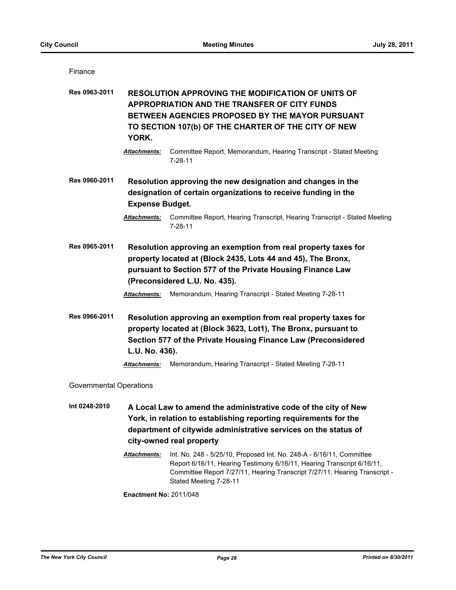Finance

**Res 0963-2011 RESOLUTION APPROVING THE MODIFICATION OF UNITS OF APPROPRIATION AND THE TRANSFER OF CITY FUNDS BETWEEN AGENCIES PROPOSED BY THE MAYOR PURSUANT TO SECTION 107(b) OF THE CHARTER OF THE CITY OF NEW YORK.**

**Res 0960-2011 Resolution approving the new designation and changes in the designation of certain organizations to receive funding in the Expense Budget.**

**Res 0965-2011 Resolution approving an exemption from real property taxes for property located at (Block 2435, Lots 44 and 45), The Bronx, pursuant to Section 577 of the Private Housing Finance Law (Preconsidered L.U. No. 435).**

**Res 0966-2011 Resolution approving an exemption from real property taxes for property located at (Block 3623, Lot1), The Bronx, pursuant to Section 577 of the Private Housing Finance Law (Preconsidered L.U. No. 436).**

*Attachments:* Memorandum, Hearing Transcript - Stated Meeting 7-28-11

Governmental Operations

**Int 0248-2010 A Local Law to amend the administrative code of the city of New York, in relation to establishing reporting requirements for the department of citywide administrative services on the status of city-owned real property**

> *Attachments:* Int. No. 248 - 5/25/10, Proposed Int. No. 248-A - 6/16/11, Committee Report 6/16/11, Hearing Testimony 6/16/11, Hearing Transcript 6/16/11, Committee Report 7/27/11, Hearing Transcript 7/27/11, Hearing Transcript - Stated Meeting 7-28-11

**Enactment No:** 2011/048

*Attachments:* Committee Report, Memorandum, Hearing Transcript - Stated Meeting 7-28-11

*Attachments:* Committee Report, Hearing Transcript, Hearing Transcript - Stated Meeting 7-28-11

*Attachments:* Memorandum, Hearing Transcript - Stated Meeting 7-28-11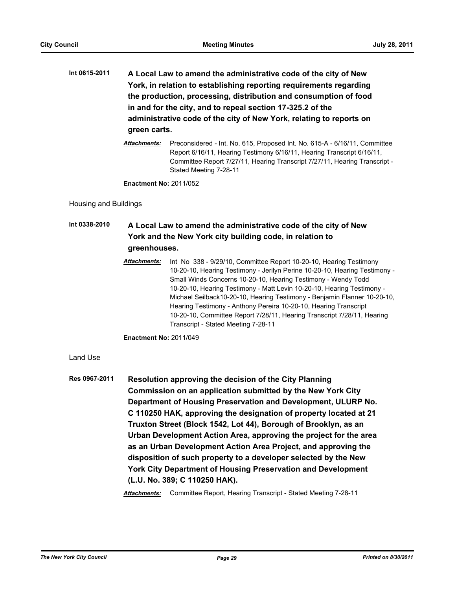- **Int 0615-2011 A Local Law to amend the administrative code of the city of New York, in relation to establishing reporting requirements regarding the production, processing, distribution and consumption of food in and for the city, and to repeal section 17-325.2 of the administrative code of the city of New York, relating to reports on green carts.**
	- *Attachments:* Preconsidered Int. No. 615, Proposed Int. No. 615-A 6/16/11, Committee Report 6/16/11, Hearing Testimony 6/16/11, Hearing Transcript 6/16/11, Committee Report 7/27/11, Hearing Transcript 7/27/11, Hearing Transcript - Stated Meeting 7-28-11

**Enactment No:** 2011/052

Housing and Buildings

## **Int 0338-2010 A Local Law to amend the administrative code of the city of New York and the New York city building code, in relation to greenhouses.**

*Attachments:* Int No 338 - 9/29/10, Committee Report 10-20-10, Hearing Testimony 10-20-10, Hearing Testimony - Jerilyn Perine 10-20-10, Hearing Testimony - Small Winds Concerns 10-20-10, Hearing Testimony - Wendy Todd 10-20-10, Hearing Testimony - Matt Levin 10-20-10, Hearing Testimony - Michael Seilback10-20-10, Hearing Testimony - Benjamin Flanner 10-20-10, Hearing Testimony - Anthony Pereira 10-20-10, Hearing Transcript 10-20-10, Committee Report 7/28/11, Hearing Transcript 7/28/11, Hearing Transcript - Stated Meeting 7-28-11

**Enactment No:** 2011/049

Land Use

**Res 0967-2011 Resolution approving the decision of the City Planning Commission on an application submitted by the New York City Department of Housing Preservation and Development, ULURP No. C 110250 HAK, approving the designation of property located at 21 Truxton Street (Block 1542, Lot 44), Borough of Brooklyn, as an Urban Development Action Area, approving the project for the area as an Urban Development Action Area Project, and approving the disposition of such property to a developer selected by the New York City Department of Housing Preservation and Development (L.U. No. 389; C 110250 HAK).**

*Attachments:* Committee Report, Hearing Transcript - Stated Meeting 7-28-11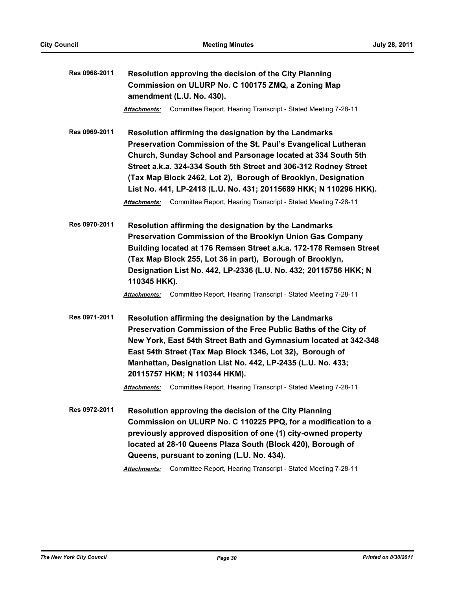| Res 0968-2011 | Resolution approving the decision of the City Planning                                                                                                                                                                                                                                                                                                                                                                                                                                    |  |  |
|---------------|-------------------------------------------------------------------------------------------------------------------------------------------------------------------------------------------------------------------------------------------------------------------------------------------------------------------------------------------------------------------------------------------------------------------------------------------------------------------------------------------|--|--|
|               | Commission on ULURP No. C 100175 ZMQ, a Zoning Map                                                                                                                                                                                                                                                                                                                                                                                                                                        |  |  |
|               | amendment (L.U. No. 430).                                                                                                                                                                                                                                                                                                                                                                                                                                                                 |  |  |
|               | Committee Report, Hearing Transcript - Stated Meeting 7-28-11<br>Attachments:                                                                                                                                                                                                                                                                                                                                                                                                             |  |  |
| Res 0969-2011 | Resolution affirming the designation by the Landmarks<br>Preservation Commission of the St. Paul's Evangelical Lutheran<br>Church, Sunday School and Parsonage located at 334 South 5th<br>Street a.k.a. 324-334 South 5th Street and 306-312 Rodney Street<br>(Tax Map Block 2462, Lot 2), Borough of Brooklyn, Designation<br>List No. 441, LP-2418 (L.U. No. 431; 20115689 HKK; N 110296 HKK).<br>Committee Report, Hearing Transcript - Stated Meeting 7-28-11<br><b>Attachments:</b> |  |  |
| Res 0970-2011 | Resolution affirming the designation by the Landmarks<br>Preservation Commission of the Brooklyn Union Gas Company<br>Building located at 176 Remsen Street a.k.a. 172-178 Remsen Street<br>(Tax Map Block 255, Lot 36 in part), Borough of Brooklyn,<br>Designation List No. 442, LP-2336 (L.U. No. 432; 20115756 HKK; N<br>110345 HKK).                                                                                                                                                 |  |  |
|               | Committee Report, Hearing Transcript - Stated Meeting 7-28-11<br><b>Attachments:</b>                                                                                                                                                                                                                                                                                                                                                                                                      |  |  |
| Res 0971-2011 | Resolution affirming the designation by the Landmarks<br>Preservation Commission of the Free Public Baths of the City of<br>New York, East 54th Street Bath and Gymnasium located at 342-348<br>East 54th Street (Tax Map Block 1346, Lot 32), Borough of<br>Manhattan, Designation List No. 442, LP-2435 (L.U. No. 433;<br>20115757 HKM; N 110344 HKM).                                                                                                                                  |  |  |
|               | Committee Report, Hearing Transcript - Stated Meeting 7-28-11<br><b>Attachments:</b>                                                                                                                                                                                                                                                                                                                                                                                                      |  |  |
| Res 0972-2011 | Resolution approving the decision of the City Planning<br>Commission on ULURP No. C 110225 PPQ, for a modification to a<br>previously approved disposition of one (1) city-owned property<br>located at 28-10 Queens Plaza South (Block 420), Borough of<br>Queens, pursuant to zoning (L.U. No. 434).                                                                                                                                                                                    |  |  |

*Attachments:* Committee Report, Hearing Transcript - Stated Meeting 7-28-11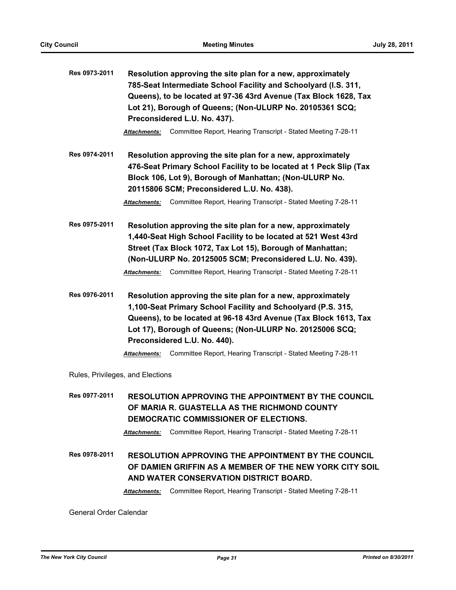| Res 0973-2011                    | Resolution approving the site plan for a new, approximately<br>785-Seat Intermediate School Facility and Schoolyard (I.S. 311,<br>Queens), to be located at 97-36 43rd Avenue (Tax Block 1628, Tax<br>Lot 21), Borough of Queens; (Non-ULURP No. 20105361 SCQ;<br>Preconsidered L.U. No. 437).                                                                               |  |  |
|----------------------------------|------------------------------------------------------------------------------------------------------------------------------------------------------------------------------------------------------------------------------------------------------------------------------------------------------------------------------------------------------------------------------|--|--|
|                                  | Committee Report, Hearing Transcript - Stated Meeting 7-28-11<br><b>Attachments:</b>                                                                                                                                                                                                                                                                                         |  |  |
| Res 0974-2011                    | Resolution approving the site plan for a new, approximately<br>476-Seat Primary School Facility to be located at 1 Peck Slip (Tax<br>Block 106, Lot 9), Borough of Manhattan; (Non-ULURP No.<br>20115806 SCM; Preconsidered L.U. No. 438).<br>Committee Report, Hearing Transcript - Stated Meeting 7-28-11<br><b>Attachments:</b>                                           |  |  |
|                                  |                                                                                                                                                                                                                                                                                                                                                                              |  |  |
| Res 0975-2011                    | Resolution approving the site plan for a new, approximately<br>1,440-Seat High School Facility to be located at 521 West 43rd<br>Street (Tax Block 1072, Tax Lot 15), Borough of Manhattan;<br>(Non-ULURP No. 20125005 SCM; Preconsidered L.U. No. 439).<br>Committee Report, Hearing Transcript - Stated Meeting 7-28-11<br>Attachments:                                    |  |  |
| Res 0976-2011                    | Resolution approving the site plan for a new, approximately<br>1,100-Seat Primary School Facility and Schoolyard (P.S. 315,<br>Queens), to be located at 96-18 43rd Avenue (Tax Block 1613, Tax<br>Lot 17), Borough of Queens; (Non-ULURP No. 20125006 SCQ;<br>Preconsidered L.U. No. 440).<br>Committee Report, Hearing Transcript - Stated Meeting 7-28-11<br>Attachments: |  |  |
| Rules, Privileges, and Elections |                                                                                                                                                                                                                                                                                                                                                                              |  |  |
| Res 0977-2011                    | RESOLUTION APPROVING THE APPOINTMENT BY THE COUNCIL                                                                                                                                                                                                                                                                                                                          |  |  |

**Res 0977-2011 RESOLUTION APPROVING THE APPOINTMENT BY THE COUNCIL OF MARIA R. GUASTELLA AS THE RICHMOND COUNTY DEMOCRATIC COMMISSIONER OF ELECTIONS.** *Attachments:* Committee Report, Hearing Transcript - Stated Meeting 7-28-11 **Res 0978-2011 RESOLUTION APPROVING THE APPOINTMENT BY THE COUNCIL OF DAMIEN GRIFFIN AS A MEMBER OF THE NEW YORK CITY SOIL AND WATER CONSERVATION DISTRICT BOARD.** *Attachments:* Committee Report, Hearing Transcript - Stated Meeting 7-28-11

General Order Calendar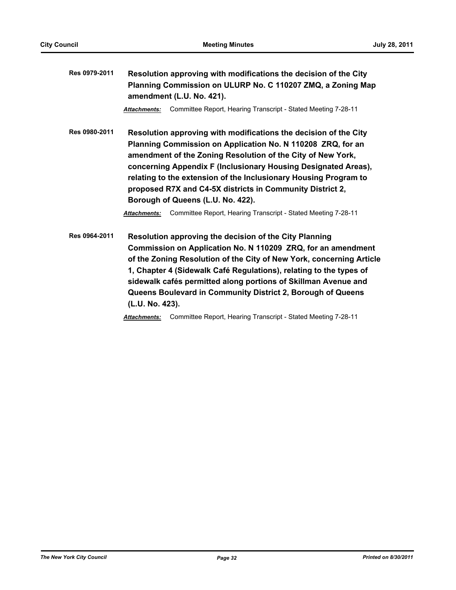| Res 0979-2011 | Resolution approving with modifications the decision of the City<br>Planning Commission on ULURP No. C 110207 ZMQ, a Zoning Map<br>amendment (L.U. No. 421).                                                                                                                                                                                                                                                                           |  |  |
|---------------|----------------------------------------------------------------------------------------------------------------------------------------------------------------------------------------------------------------------------------------------------------------------------------------------------------------------------------------------------------------------------------------------------------------------------------------|--|--|
|               | Committee Report, Hearing Transcript - Stated Meeting 7-28-11<br><b>Attachments:</b>                                                                                                                                                                                                                                                                                                                                                   |  |  |
| Res 0980-2011 | Resolution approving with modifications the decision of the City<br>Planning Commission on Application No. N 110208 ZRQ, for an<br>amendment of the Zoning Resolution of the City of New York,<br>concerning Appendix F (Inclusionary Housing Designated Areas),<br>relating to the extension of the Inclusionary Housing Program to<br>proposed R7X and C4-5X districts in Community District 2,<br>Borough of Queens (L.U. No. 422). |  |  |
|               | Committee Report, Hearing Transcript - Stated Meeting 7-28-11<br><b>Attachments:</b>                                                                                                                                                                                                                                                                                                                                                   |  |  |
| Res 0964-2011 | Resolution approving the decision of the City Planning<br>Commission on Application No. N 110209 ZRQ, for an amendment<br>of the Zoning Resolution of the City of New York, concerning Article<br>1, Chapter 4 (Sidewalk Café Regulations), relating to the types of<br>sidewalk cafés permitted along portions of Skillman Avenue and<br>Queens Boulevard in Community District 2, Borough of Queens<br>(L.U. No. 423).               |  |  |

*Attachments:* Committee Report, Hearing Transcript - Stated Meeting 7-28-11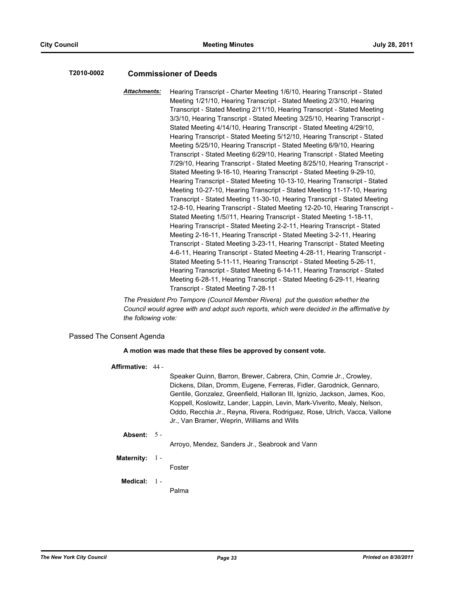#### **T2010-0002 Commissioner of Deeds**

*Attachments:* Hearing Transcript - Charter Meeting 1/6/10, Hearing Transcript - Stated Meeting 1/21/10, Hearing Transcript - Stated Meeting 2/3/10, Hearing Transcript - Stated Meeting 2/11/10, Hearing Transcript - Stated Meeting 3/3/10, Hearing Transcript - Stated Meeting 3/25/10, Hearing Transcript - Stated Meeting 4/14/10, Hearing Transcript - Stated Meeting 4/29/10, Hearing Transcript - Stated Meeting 5/12/10, Hearing Transcript - Stated Meeting 5/25/10, Hearing Transcript - Stated Meeting 6/9/10, Hearing Transcript - Stated Meeting 6/29/10, Hearing Transcript - Stated Meeting 7/29/10, Hearing Transcript - Stated Meeting 8/25/10, Hearing Transcript - Stated Meeting 9-16-10, Hearing Transcript - Stated Meeting 9-29-10, Hearing Transcript - Stated Meeting 10-13-10, Hearing Transcript - Stated Meeting 10-27-10, Hearing Transcript - Stated Meeting 11-17-10, Hearing Transcript - Stated Meeting 11-30-10, Hearing Transcript - Stated Meeting 12-8-10, Hearing Transcript - Stated Meeting 12-20-10, Hearing Transcript - Stated Meeting 1/5//11, Hearing Transcript - Stated Meeting 1-18-11, Hearing Transcript - Stated Meeting 2-2-11, Hearing Transcript - Stated Meeting 2-16-11, Hearing Transcript - Stated Meeting 3-2-11, Hearing Transcript - Stated Meeting 3-23-11, Hearing Transcript - Stated Meeting 4-6-11, Hearing Transcript - Stated Meeting 4-28-11, Hearing Transcript - Stated Meeting 5-11-11, Hearing Transcript - Stated Meeting 5-26-11, Hearing Transcript - Stated Meeting 6-14-11, Hearing Transcript - Stated Meeting 6-28-11, Hearing Transcript - Stated Meeting 6-29-11, Hearing Transcript - Stated Meeting 7-28-11

*The President Pro Tempore (Council Member Rivera) put the question whether the Council would agree with and adopt such reports, which were decided in the affirmative by the following vote:*

#### Passed The Consent Agenda

#### **A motion was made that these files be approved by consent vote.**

#### **Affirmative:** 44 -

Speaker Quinn, Barron, Brewer, Cabrera, Chin, Comrie Jr., Crowley, Dickens, Dilan, Dromm, Eugene, Ferreras, Fidler, Garodnick, Gennaro, Gentile, Gonzalez, Greenfield, Halloran III, Ignizio, Jackson, James, Koo, Koppell, Koslowitz, Lander, Lappin, Levin, Mark-Viverito, Mealy, Nelson, Oddo, Recchia Jr., Reyna, Rivera, Rodriguez, Rose, Ulrich, Vacca, Vallone Jr., Van Bramer, Weprin, Williams and Wills

#### **Absent:** 5 -

Arroyo, Mendez, Sanders Jr., Seabrook and Vann

#### **Maternity:** 1 -

Foster

#### **Medical:** 1 -

Palma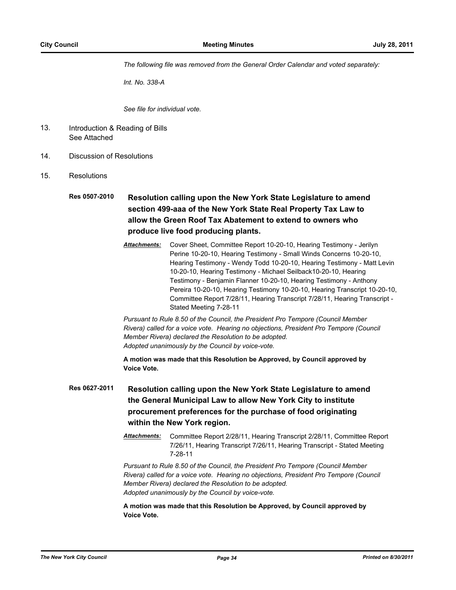*The following file was removed from the General Order Calendar and voted separately:*

*Int. No. 338-A*

*See file for individual vote.*

- Introduction & Reading of Bills See Attached 13.
- 14. Discussion of Resolutions
- 15. Resolutions
	- **Res 0507-2010 Resolution calling upon the New York State Legislature to amend section 499-aaa of the New York State Real Property Tax Law to allow the Green Roof Tax Abatement to extend to owners who produce live food producing plants.**
		- *Attachments:* Cover Sheet, Committee Report 10-20-10, Hearing Testimony Jerilyn Perine 10-20-10, Hearing Testimony - Small Winds Concerns 10-20-10, Hearing Testimony - Wendy Todd 10-20-10, Hearing Testimony - Matt Levin 10-20-10, Hearing Testimony - Michael Seilback10-20-10, Hearing Testimony - Benjamin Flanner 10-20-10, Hearing Testimony - Anthony Pereira 10-20-10, Hearing Testimony 10-20-10, Hearing Transcript 10-20-10, Committee Report 7/28/11, Hearing Transcript 7/28/11, Hearing Transcript - Stated Meeting 7-28-11

*Pursuant to Rule 8.50 of the Council, the President Pro Tempore (Council Member Rivera) called for a voice vote. Hearing no objections, President Pro Tempore (Council Member Rivera) declared the Resolution to be adopted. Adopted unanimously by the Council by voice-vote.*

**A motion was made that this Resolution be Approved, by Council approved by Voice Vote.**

- **Res 0627-2011 Resolution calling upon the New York State Legislature to amend the General Municipal Law to allow New York City to institute procurement preferences for the purchase of food originating within the New York region.**
	- *Attachments:* Committee Report 2/28/11, Hearing Transcript 2/28/11, Committee Report 7/26/11, Hearing Transcript 7/26/11, Hearing Transcript - Stated Meeting 7-28-11

*Pursuant to Rule 8.50 of the Council, the President Pro Tempore (Council Member Rivera) called for a voice vote. Hearing no objections, President Pro Tempore (Council Member Rivera) declared the Resolution to be adopted. Adopted unanimously by the Council by voice-vote.*

**A motion was made that this Resolution be Approved, by Council approved by Voice Vote.**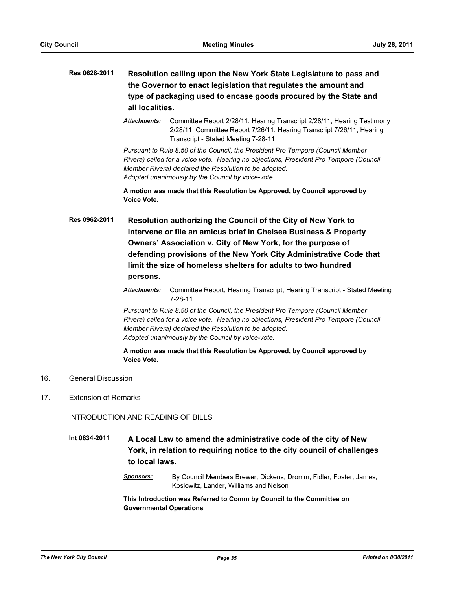- **Res 0628-2011 Resolution calling upon the New York State Legislature to pass and the Governor to enact legislation that regulates the amount and type of packaging used to encase goods procured by the State and all localities.**
	- *Attachments:* Committee Report 2/28/11, Hearing Transcript 2/28/11, Hearing Testimony 2/28/11, Committee Report 7/26/11, Hearing Transcript 7/26/11, Hearing Transcript - Stated Meeting 7-28-11

*Pursuant to Rule 8.50 of the Council, the President Pro Tempore (Council Member Rivera) called for a voice vote. Hearing no objections, President Pro Tempore (Council Member Rivera) declared the Resolution to be adopted. Adopted unanimously by the Council by voice-vote.*

**A motion was made that this Resolution be Approved, by Council approved by Voice Vote.**

**Res 0962-2011 Resolution authorizing the Council of the City of New York to intervene or file an amicus brief in Chelsea Business & Property Owners' Association v. City of New York, for the purpose of defending provisions of the New York City Administrative Code that limit the size of homeless shelters for adults to two hundred persons.**

> *Attachments:* Committee Report, Hearing Transcript, Hearing Transcript - Stated Meeting 7-28-11

*Pursuant to Rule 8.50 of the Council, the President Pro Tempore (Council Member Rivera) called for a voice vote. Hearing no objections, President Pro Tempore (Council Member Rivera) declared the Resolution to be adopted. Adopted unanimously by the Council by voice-vote.*

**A motion was made that this Resolution be Approved, by Council approved by Voice Vote.**

- 16. General Discussion
- 17. Extension of Remarks

INTRODUCTION AND READING OF BILLS

**Int 0634-2011 A Local Law to amend the administrative code of the city of New York, in relation to requiring notice to the city council of challenges to local laws.**

> *Sponsors:* By Council Members Brewer, Dickens, Dromm, Fidler, Foster, James, Koslowitz, Lander, Williams and Nelson

**This Introduction was Referred to Comm by Council to the Committee on Governmental Operations**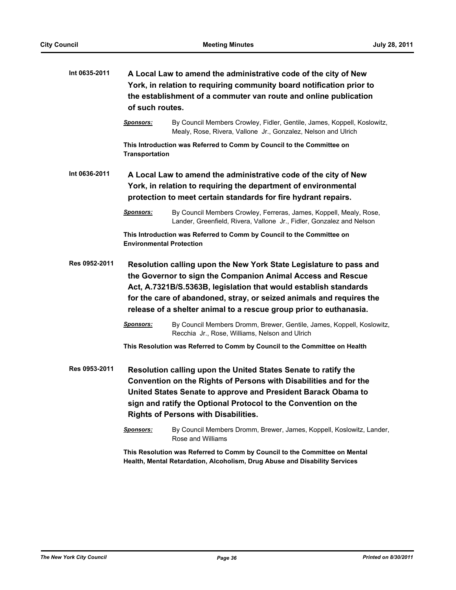| Int 0635-2011 | A Local Law to amend the administrative code of the city of New<br>York, in relation to requiring community board notification prior to<br>the establishment of a commuter van route and online publication<br>of such routes. |                                                                                                                                                                                                                                                                                                                                                     |  |
|---------------|--------------------------------------------------------------------------------------------------------------------------------------------------------------------------------------------------------------------------------|-----------------------------------------------------------------------------------------------------------------------------------------------------------------------------------------------------------------------------------------------------------------------------------------------------------------------------------------------------|--|
|               | <b>Sponsors:</b>                                                                                                                                                                                                               | By Council Members Crowley, Fidler, Gentile, James, Koppell, Koslowitz,<br>Mealy, Rose, Rivera, Vallone Jr., Gonzalez, Nelson and Ulrich                                                                                                                                                                                                            |  |
|               | <b>Transportation</b>                                                                                                                                                                                                          | This Introduction was Referred to Comm by Council to the Committee on                                                                                                                                                                                                                                                                               |  |
| Int 0636-2011 | A Local Law to amend the administrative code of the city of New<br>York, in relation to requiring the department of environmental<br>protection to meet certain standards for fire hydrant repairs.                            |                                                                                                                                                                                                                                                                                                                                                     |  |
|               | <b>Sponsors:</b>                                                                                                                                                                                                               | By Council Members Crowley, Ferreras, James, Koppell, Mealy, Rose,<br>Lander, Greenfield, Rivera, Vallone Jr., Fidler, Gonzalez and Nelson                                                                                                                                                                                                          |  |
|               | <b>Environmental Protection</b>                                                                                                                                                                                                | This Introduction was Referred to Comm by Council to the Committee on                                                                                                                                                                                                                                                                               |  |
| Res 0952-2011 |                                                                                                                                                                                                                                | Resolution calling upon the New York State Legislature to pass and<br>the Governor to sign the Companion Animal Access and Rescue<br>Act, A.7321B/S.5363B, legislation that would establish standards<br>for the care of abandoned, stray, or seized animals and requires the<br>release of a shelter animal to a rescue group prior to euthanasia. |  |
|               | <b>Sponsors:</b>                                                                                                                                                                                                               | By Council Members Dromm, Brewer, Gentile, James, Koppell, Koslowitz,<br>Recchia Jr., Rose, Williams, Nelson and Ulrich                                                                                                                                                                                                                             |  |
|               |                                                                                                                                                                                                                                | This Resolution was Referred to Comm by Council to the Committee on Health                                                                                                                                                                                                                                                                          |  |
| Res 0953-2011 |                                                                                                                                                                                                                                | Resolution calling upon the United States Senate to ratify the<br>Convention on the Rights of Persons with Disabilities and for the<br>United States Senate to approve and President Barack Obama to<br>sign and ratify the Optional Protocol to the Convention on the<br><b>Rights of Persons with Disabilities.</b>                               |  |
|               | <u>Sponsors:</u>                                                                                                                                                                                                               | By Council Members Dromm, Brewer, James, Koppell, Koslowitz, Lander,<br>Rose and Williams                                                                                                                                                                                                                                                           |  |
|               |                                                                                                                                                                                                                                | This Resolution was Referred to Comm by Council to the Committee on Mental<br>Health, Mental Retardation, Alcoholism, Drug Abuse and Disability Services                                                                                                                                                                                            |  |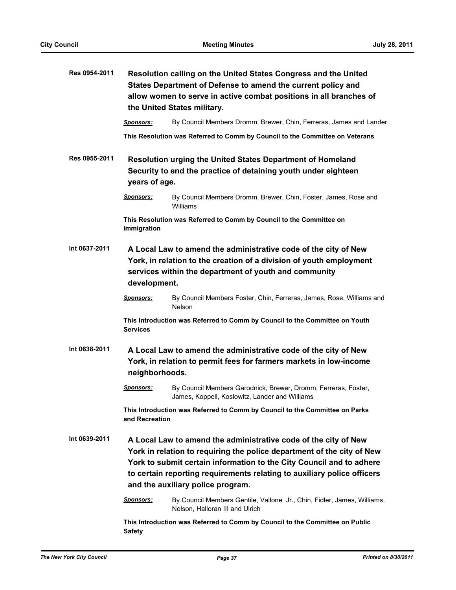| Res 0954-2011                                      | Resolution calling on the United States Congress and the United<br>States Department of Defense to amend the current policy and<br>allow women to serve in active combat positions in all branches of<br>the United States military. |                                                                                                                                                                                                                                                                                              |  |
|----------------------------------------------------|--------------------------------------------------------------------------------------------------------------------------------------------------------------------------------------------------------------------------------------|----------------------------------------------------------------------------------------------------------------------------------------------------------------------------------------------------------------------------------------------------------------------------------------------|--|
|                                                    | <b>Sponsors:</b>                                                                                                                                                                                                                     | By Council Members Dromm, Brewer, Chin, Ferreras, James and Lander                                                                                                                                                                                                                           |  |
|                                                    |                                                                                                                                                                                                                                      | This Resolution was Referred to Comm by Council to the Committee on Veterans                                                                                                                                                                                                                 |  |
| Res 0955-2011                                      | <b>Resolution urging the United States Department of Homeland</b><br>Security to end the practice of detaining youth under eighteen<br>years of age.                                                                                 |                                                                                                                                                                                                                                                                                              |  |
|                                                    | <u>Sponsors:</u>                                                                                                                                                                                                                     | By Council Members Dromm, Brewer, Chin, Foster, James, Rose and<br>Williams                                                                                                                                                                                                                  |  |
|                                                    | Immigration                                                                                                                                                                                                                          | This Resolution was Referred to Comm by Council to the Committee on                                                                                                                                                                                                                          |  |
| Int 0637-2011<br>development.                      |                                                                                                                                                                                                                                      | A Local Law to amend the administrative code of the city of New<br>York, in relation to the creation of a division of youth employment<br>services within the department of youth and community                                                                                              |  |
|                                                    | <b>Sponsors:</b>                                                                                                                                                                                                                     | By Council Members Foster, Chin, Ferreras, James, Rose, Williams and<br><b>Nelson</b>                                                                                                                                                                                                        |  |
|                                                    | <b>Services</b>                                                                                                                                                                                                                      | This Introduction was Referred to Comm by Council to the Committee on Youth                                                                                                                                                                                                                  |  |
| Int 0638-2011                                      | A Local Law to amend the administrative code of the city of New<br>York, in relation to permit fees for farmers markets in low-income<br>neighborhoods.                                                                              |                                                                                                                                                                                                                                                                                              |  |
|                                                    | <b>Sponsors:</b>                                                                                                                                                                                                                     | By Council Members Garodnick, Brewer, Dromm, Ferreras, Foster,<br>James, Koppell, Koslowitz, Lander and Williams                                                                                                                                                                             |  |
|                                                    | and Recreation                                                                                                                                                                                                                       | This Introduction was Referred to Comm by Council to the Committee on Parks                                                                                                                                                                                                                  |  |
| Int 0639-2011<br>and the auxiliary police program. |                                                                                                                                                                                                                                      | A Local Law to amend the administrative code of the city of New<br>York in relation to requiring the police department of the city of New<br>York to submit certain information to the City Council and to adhere<br>to certain reporting requirements relating to auxiliary police officers |  |
|                                                    | <b>Sponsors:</b>                                                                                                                                                                                                                     | By Council Members Gentile, Vallone Jr., Chin, Fidler, James, Williams,<br>Nelson, Halloran III and Ulrich                                                                                                                                                                                   |  |
|                                                    | <b>Safety</b>                                                                                                                                                                                                                        | This Introduction was Referred to Comm by Council to the Committee on Public                                                                                                                                                                                                                 |  |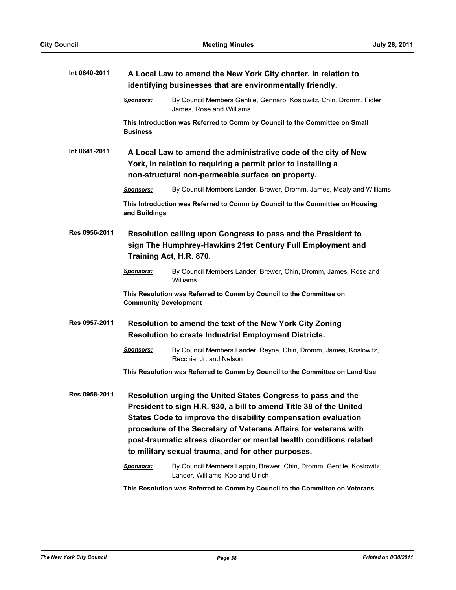| Int 0640-2011 | A Local Law to amend the New York City charter, in relation to<br>identifying businesses that are environmentally friendly.                                                           |                                                                                                                                                                                                                                                                                                                                                                                                     |  |
|---------------|---------------------------------------------------------------------------------------------------------------------------------------------------------------------------------------|-----------------------------------------------------------------------------------------------------------------------------------------------------------------------------------------------------------------------------------------------------------------------------------------------------------------------------------------------------------------------------------------------------|--|
|               | <b>Sponsors:</b>                                                                                                                                                                      | By Council Members Gentile, Gennaro, Koslowitz, Chin, Dromm, Fidler,<br>James, Rose and Williams                                                                                                                                                                                                                                                                                                    |  |
|               | <b>Business</b>                                                                                                                                                                       | This Introduction was Referred to Comm by Council to the Committee on Small                                                                                                                                                                                                                                                                                                                         |  |
| Int 0641-2011 | A Local Law to amend the administrative code of the city of New<br>York, in relation to requiring a permit prior to installing a<br>non-structural non-permeable surface on property. |                                                                                                                                                                                                                                                                                                                                                                                                     |  |
|               | <b>Sponsors:</b>                                                                                                                                                                      | By Council Members Lander, Brewer, Dromm, James, Mealy and Williams                                                                                                                                                                                                                                                                                                                                 |  |
|               | and Buildings                                                                                                                                                                         | This Introduction was Referred to Comm by Council to the Committee on Housing                                                                                                                                                                                                                                                                                                                       |  |
| Res 0956-2011 |                                                                                                                                                                                       | Resolution calling upon Congress to pass and the President to<br>sign The Humphrey-Hawkins 21st Century Full Employment and<br>Training Act, H.R. 870.                                                                                                                                                                                                                                              |  |
|               | <b>Sponsors:</b>                                                                                                                                                                      | By Council Members Lander, Brewer, Chin, Dromm, James, Rose and<br>Williams                                                                                                                                                                                                                                                                                                                         |  |
|               | <b>Community Development</b>                                                                                                                                                          | This Resolution was Referred to Comm by Council to the Committee on                                                                                                                                                                                                                                                                                                                                 |  |
| Res 0957-2011 |                                                                                                                                                                                       | Resolution to amend the text of the New York City Zoning<br><b>Resolution to create Industrial Employment Districts.</b>                                                                                                                                                                                                                                                                            |  |
|               | <b>Sponsors:</b>                                                                                                                                                                      | By Council Members Lander, Reyna, Chin, Dromm, James, Koslowitz,<br>Recchia Jr. and Nelson                                                                                                                                                                                                                                                                                                          |  |
|               |                                                                                                                                                                                       | This Resolution was Referred to Comm by Council to the Committee on Land Use                                                                                                                                                                                                                                                                                                                        |  |
| Res 0958-2011 |                                                                                                                                                                                       | Resolution urging the United States Congress to pass and the<br>President to sign H.R. 930, a bill to amend Title 38 of the United<br>States Code to improve the disability compensation evaluation<br>procedure of the Secretary of Veterans Affairs for veterans with<br>post-traumatic stress disorder or mental health conditions related<br>to military sexual trauma, and for other purposes. |  |
|               | <b>Sponsors:</b>                                                                                                                                                                      | By Council Members Lappin, Brewer, Chin, Dromm, Gentile, Koslowitz,<br>Lander, Williams, Koo and Ulrich                                                                                                                                                                                                                                                                                             |  |
|               |                                                                                                                                                                                       | This Resolution was Referred to Comm by Council to the Committee on Veterans                                                                                                                                                                                                                                                                                                                        |  |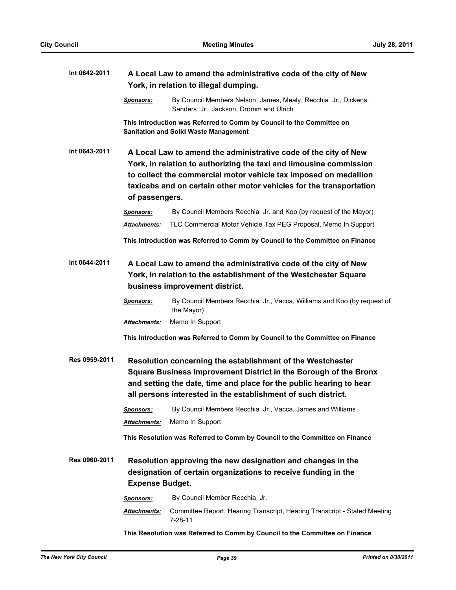| Int 0642-2011 |                                                                                                                                                                                                                                                                                                    | A Local Law to amend the administrative code of the city of New<br>York, in relation to illegal dumping.                                                                                                                                                               |  |  |
|---------------|----------------------------------------------------------------------------------------------------------------------------------------------------------------------------------------------------------------------------------------------------------------------------------------------------|------------------------------------------------------------------------------------------------------------------------------------------------------------------------------------------------------------------------------------------------------------------------|--|--|
|               | <u>Sponsors:</u>                                                                                                                                                                                                                                                                                   | By Council Members Nelson, James, Mealy, Recchia Jr., Dickens,<br>Sanders Jr., Jackson, Dromm and Ulrich                                                                                                                                                               |  |  |
|               |                                                                                                                                                                                                                                                                                                    | This Introduction was Referred to Comm by Council to the Committee on<br><b>Sanitation and Solid Waste Management</b>                                                                                                                                                  |  |  |
| Int 0643-2011 | A Local Law to amend the administrative code of the city of New<br>York, in relation to authorizing the taxi and limousine commission<br>to collect the commercial motor vehicle tax imposed on medallion<br>taxicabs and on certain other motor vehicles for the transportation<br>of passengers. |                                                                                                                                                                                                                                                                        |  |  |
|               | Sponsors:                                                                                                                                                                                                                                                                                          | By Council Members Recchia Jr. and Koo (by request of the Mayor)                                                                                                                                                                                                       |  |  |
|               | Attachments:                                                                                                                                                                                                                                                                                       | TLC Commercial Motor Vehicle Tax PEG Proposal, Memo In Support                                                                                                                                                                                                         |  |  |
|               |                                                                                                                                                                                                                                                                                                    | This Introduction was Referred to Comm by Council to the Committee on Finance                                                                                                                                                                                          |  |  |
| Int 0644-2011 | A Local Law to amend the administrative code of the city of New<br>York, in relation to the establishment of the Westchester Square<br>business improvement district.                                                                                                                              |                                                                                                                                                                                                                                                                        |  |  |
|               | <b>Sponsors:</b>                                                                                                                                                                                                                                                                                   | By Council Members Recchia Jr., Vacca, Williams and Koo (by request of<br>the Mayor)                                                                                                                                                                                   |  |  |
|               | Attachments:                                                                                                                                                                                                                                                                                       | Memo In Support                                                                                                                                                                                                                                                        |  |  |
|               |                                                                                                                                                                                                                                                                                                    | This Introduction was Referred to Comm by Council to the Committee on Finance                                                                                                                                                                                          |  |  |
| Res 0959-2011 |                                                                                                                                                                                                                                                                                                    | Resolution concerning the establishment of the Westchester<br>Square Business Improvement District in the Borough of the Bronx<br>and setting the date, time and place for the public hearing to hear<br>all persons interested in the establishment of such district. |  |  |
|               | Sponsors:                                                                                                                                                                                                                                                                                          | By Council Members Recchia Jr., Vacca, James and Williams                                                                                                                                                                                                              |  |  |
|               | Attachments:                                                                                                                                                                                                                                                                                       | Memo In Support                                                                                                                                                                                                                                                        |  |  |
|               |                                                                                                                                                                                                                                                                                                    | This Resolution was Referred to Comm by Council to the Committee on Finance                                                                                                                                                                                            |  |  |
| Res 0960-2011 | <b>Expense Budget.</b>                                                                                                                                                                                                                                                                             | Resolution approving the new designation and changes in the<br>designation of certain organizations to receive funding in the                                                                                                                                          |  |  |
|               | Sponsors:                                                                                                                                                                                                                                                                                          | By Council Member Recchia Jr.                                                                                                                                                                                                                                          |  |  |
|               | Attachments:                                                                                                                                                                                                                                                                                       | Committee Report, Hearing Transcript, Hearing Transcript - Stated Meeting<br>$7 - 28 - 11$                                                                                                                                                                             |  |  |
|               |                                                                                                                                                                                                                                                                                                    | This Resolution was Referred to Comm by Council to the Committee on Finance                                                                                                                                                                                            |  |  |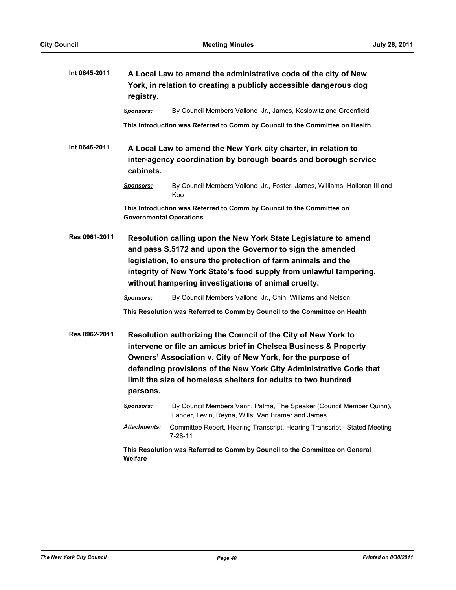| Int 0645-2011 | A Local Law to amend the administrative code of the city of New<br>York, in relation to creating a publicly accessible dangerous dog<br>registry.                                                                                                                                                                                                   |                                                                                                                                   |
|---------------|-----------------------------------------------------------------------------------------------------------------------------------------------------------------------------------------------------------------------------------------------------------------------------------------------------------------------------------------------------|-----------------------------------------------------------------------------------------------------------------------------------|
|               | <b>Sponsors:</b>                                                                                                                                                                                                                                                                                                                                    | By Council Members Vallone Jr., James, Koslowitz and Greenfield                                                                   |
|               |                                                                                                                                                                                                                                                                                                                                                     | This Introduction was Referred to Comm by Council to the Committee on Health                                                      |
| Int 0646-2011 | cabinets.                                                                                                                                                                                                                                                                                                                                           | A Local Law to amend the New York city charter, in relation to<br>inter-agency coordination by borough boards and borough service |
|               | Sponsors:                                                                                                                                                                                                                                                                                                                                           | By Council Members Vallone Jr., Foster, James, Williams, Halloran III and<br>Koo                                                  |
|               | <b>Governmental Operations</b>                                                                                                                                                                                                                                                                                                                      | This Introduction was Referred to Comm by Council to the Committee on                                                             |
| Res 0961-2011 | Resolution calling upon the New York State Legislature to amend<br>and pass S.5172 and upon the Governor to sign the amended<br>legislation, to ensure the protection of farm animals and the<br>integrity of New York State's food supply from unlawful tampering,<br>without hampering investigations of animal cruelty.                          |                                                                                                                                   |
|               | <b>Sponsors:</b>                                                                                                                                                                                                                                                                                                                                    | By Council Members Vallone Jr., Chin, Williams and Nelson                                                                         |
|               |                                                                                                                                                                                                                                                                                                                                                     | This Resolution was Referred to Comm by Council to the Committee on Health                                                        |
| Res 0962-2011 | Resolution authorizing the Council of the City of New York to<br>intervene or file an amicus brief in Chelsea Business & Property<br>Owners' Association v. City of New York, for the purpose of<br>defending provisions of the New York City Administrative Code that<br>limit the size of homeless shelters for adults to two hundred<br>persons. |                                                                                                                                   |
|               | <u>Sponsors:</u>                                                                                                                                                                                                                                                                                                                                    | By Council Members Vann, Palma, The Speaker (Council Member Quinn),<br>Lander, Levin, Reyna, Wills, Van Bramer and James          |
|               | Attachments:                                                                                                                                                                                                                                                                                                                                        | Committee Report, Hearing Transcript, Hearing Transcript - Stated Meeting<br>$7 - 28 - 11$                                        |
|               | Welfare                                                                                                                                                                                                                                                                                                                                             | This Resolution was Referred to Comm by Council to the Committee on General                                                       |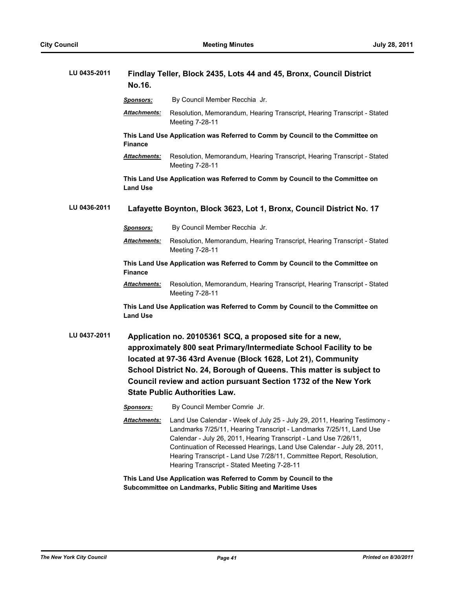| LU 0435-2011 | Findlay Teller, Block 2435, Lots 44 and 45, Bronx, Council District<br>No.16.                                                                                                                                                                                                                                                                                                    |                                                                                                                                                                                                                                                                                                                                                                                                                     |  |
|--------------|----------------------------------------------------------------------------------------------------------------------------------------------------------------------------------------------------------------------------------------------------------------------------------------------------------------------------------------------------------------------------------|---------------------------------------------------------------------------------------------------------------------------------------------------------------------------------------------------------------------------------------------------------------------------------------------------------------------------------------------------------------------------------------------------------------------|--|
|              | Sponsors:                                                                                                                                                                                                                                                                                                                                                                        | By Council Member Recchia Jr.                                                                                                                                                                                                                                                                                                                                                                                       |  |
|              | Attachments:                                                                                                                                                                                                                                                                                                                                                                     | Resolution, Memorandum, Hearing Transcript, Hearing Transcript - Stated<br>Meeting 7-28-11                                                                                                                                                                                                                                                                                                                          |  |
|              | <b>Finance</b>                                                                                                                                                                                                                                                                                                                                                                   | This Land Use Application was Referred to Comm by Council to the Committee on                                                                                                                                                                                                                                                                                                                                       |  |
|              | Attachments:                                                                                                                                                                                                                                                                                                                                                                     | Resolution, Memorandum, Hearing Transcript, Hearing Transcript - Stated<br>Meeting 7-28-11                                                                                                                                                                                                                                                                                                                          |  |
|              | <b>Land Use</b>                                                                                                                                                                                                                                                                                                                                                                  | This Land Use Application was Referred to Comm by Council to the Committee on                                                                                                                                                                                                                                                                                                                                       |  |
| LU 0436-2011 |                                                                                                                                                                                                                                                                                                                                                                                  | Lafayette Boynton, Block 3623, Lot 1, Bronx, Council District No. 17                                                                                                                                                                                                                                                                                                                                                |  |
|              | Sponsors:                                                                                                                                                                                                                                                                                                                                                                        | By Council Member Recchia Jr.                                                                                                                                                                                                                                                                                                                                                                                       |  |
|              | Attachments:                                                                                                                                                                                                                                                                                                                                                                     | Resolution, Memorandum, Hearing Transcript, Hearing Transcript - Stated<br>Meeting 7-28-11                                                                                                                                                                                                                                                                                                                          |  |
|              | This Land Use Application was Referred to Comm by Council to the Committee on<br>Finance                                                                                                                                                                                                                                                                                         |                                                                                                                                                                                                                                                                                                                                                                                                                     |  |
|              | Attachments:                                                                                                                                                                                                                                                                                                                                                                     | Resolution, Memorandum, Hearing Transcript, Hearing Transcript - Stated<br>Meeting 7-28-11                                                                                                                                                                                                                                                                                                                          |  |
|              | <b>Land Use</b>                                                                                                                                                                                                                                                                                                                                                                  | This Land Use Application was Referred to Comm by Council to the Committee on                                                                                                                                                                                                                                                                                                                                       |  |
| LU 0437-2011 | Application no. 20105361 SCQ, a proposed site for a new,<br>approximately 800 seat Primary/Intermediate School Facility to be<br>located at 97-36 43rd Avenue (Block 1628, Lot 21), Community<br>School District No. 24, Borough of Queens. This matter is subject to<br>Council review and action pursuant Section 1732 of the New York<br><b>State Public Authorities Law.</b> |                                                                                                                                                                                                                                                                                                                                                                                                                     |  |
|              | <b>Sponsors:</b>                                                                                                                                                                                                                                                                                                                                                                 | By Council Member Comrie Jr.                                                                                                                                                                                                                                                                                                                                                                                        |  |
|              | <u> Attachments:</u>                                                                                                                                                                                                                                                                                                                                                             | Land Use Calendar - Week of July 25 - July 29, 2011, Hearing Testimony -<br>Landmarks 7/25/11, Hearing Transcript - Landmarks 7/25/11, Land Use<br>Calendar - July 26, 2011, Hearing Transcript - Land Use 7/26/11,<br>Continuation of Recessed Hearings, Land Use Calendar - July 28, 2011,<br>Hearing Transcript - Land Use 7/28/11, Committee Report, Resolution,<br>Hearing Transcript - Stated Meeting 7-28-11 |  |
|              |                                                                                                                                                                                                                                                                                                                                                                                  | This Land Use Application was Referred to Comm by Council to the<br>Subcommittee on Landmarks, Public Siting and Maritime Uses                                                                                                                                                                                                                                                                                      |  |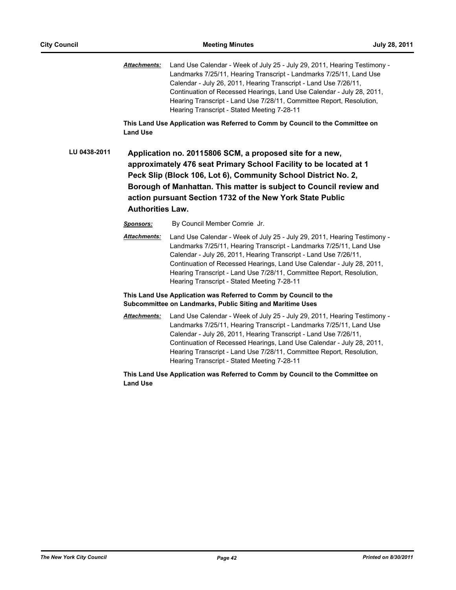*Attachments:* Land Use Calendar - Week of July 25 - July 29, 2011, Hearing Testimony - Landmarks 7/25/11, Hearing Transcript - Landmarks 7/25/11, Land Use Calendar - July 26, 2011, Hearing Transcript - Land Use 7/26/11, Continuation of Recessed Hearings, Land Use Calendar - July 28, 2011, Hearing Transcript - Land Use 7/28/11, Committee Report, Resolution, Hearing Transcript - Stated Meeting 7-28-11

**This Land Use Application was Referred to Comm by Council to the Committee on Land Use**

**LU 0438-2011 Application no. 20115806 SCM, a proposed site for a new, approximately 476 seat Primary School Facility to be located at 1 Peck Slip (Block 106, Lot 6), Community School District No. 2, Borough of Manhattan. This matter is subject to Council review and action pursuant Section 1732 of the New York State Public Authorities Law.**

*Sponsors:* By Council Member Comrie Jr.

*Attachments:* Land Use Calendar - Week of July 25 - July 29, 2011, Hearing Testimony - Landmarks 7/25/11, Hearing Transcript - Landmarks 7/25/11, Land Use Calendar - July 26, 2011, Hearing Transcript - Land Use 7/26/11, Continuation of Recessed Hearings, Land Use Calendar - July 28, 2011, Hearing Transcript - Land Use 7/28/11, Committee Report, Resolution, Hearing Transcript - Stated Meeting 7-28-11

#### **This Land Use Application was Referred to Comm by Council to the Subcommittee on Landmarks, Public Siting and Maritime Uses**

*Attachments:* Land Use Calendar - Week of July 25 - July 29, 2011, Hearing Testimony - Landmarks 7/25/11, Hearing Transcript - Landmarks 7/25/11, Land Use Calendar - July 26, 2011, Hearing Transcript - Land Use 7/26/11, Continuation of Recessed Hearings, Land Use Calendar - July 28, 2011, Hearing Transcript - Land Use 7/28/11, Committee Report, Resolution, Hearing Transcript - Stated Meeting 7-28-11

**This Land Use Application was Referred to Comm by Council to the Committee on Land Use**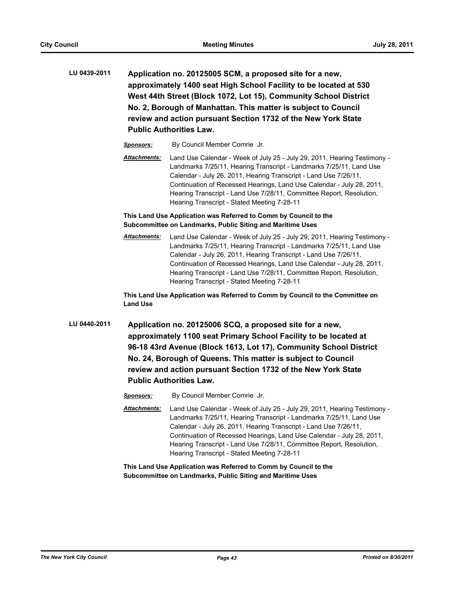**LU 0439-2011 Application no. 20125005 SCM, a proposed site for a new, approximately 1400 seat High School Facility to be located at 530 West 44th Street (Block 1072, Lot 15), Community School District No. 2, Borough of Manhattan. This matter is subject to Council review and action pursuant Section 1732 of the New York State Public Authorities Law.**

*Sponsors:* By Council Member Comrie Jr.

*Attachments:* Land Use Calendar - Week of July 25 - July 29, 2011, Hearing Testimony - Landmarks 7/25/11, Hearing Transcript - Landmarks 7/25/11, Land Use Calendar - July 26, 2011, Hearing Transcript - Land Use 7/26/11, Continuation of Recessed Hearings, Land Use Calendar - July 28, 2011, Hearing Transcript - Land Use 7/28/11, Committee Report, Resolution, Hearing Transcript - Stated Meeting 7-28-11

**This Land Use Application was Referred to Comm by Council to the Subcommittee on Landmarks, Public Siting and Maritime Uses**

*Attachments:* Land Use Calendar - Week of July 25 - July 29, 2011, Hearing Testimony - Landmarks 7/25/11, Hearing Transcript - Landmarks 7/25/11, Land Use Calendar - July 26, 2011, Hearing Transcript - Land Use 7/26/11, Continuation of Recessed Hearings, Land Use Calendar - July 28, 2011, Hearing Transcript - Land Use 7/28/11, Committee Report, Resolution, Hearing Transcript - Stated Meeting 7-28-11

**This Land Use Application was Referred to Comm by Council to the Committee on Land Use**

- **LU 0440-2011 Application no. 20125006 SCQ, a proposed site for a new, approximately 1100 seat Primary School Facility to be located at 96-18 43rd Avenue (Block 1613, Lot 17), Community School District No. 24, Borough of Queens. This matter is subject to Council review and action pursuant Section 1732 of the New York State Public Authorities Law.**
	- *Sponsors:* By Council Member Comrie Jr.
	- *Attachments:* Land Use Calendar Week of July 25 July 29, 2011, Hearing Testimony Landmarks 7/25/11, Hearing Transcript - Landmarks 7/25/11, Land Use Calendar - July 26, 2011, Hearing Transcript - Land Use 7/26/11, Continuation of Recessed Hearings, Land Use Calendar - July 28, 2011, Hearing Transcript - Land Use 7/28/11, Committee Report, Resolution, Hearing Transcript - Stated Meeting 7-28-11

**This Land Use Application was Referred to Comm by Council to the Subcommittee on Landmarks, Public Siting and Maritime Uses**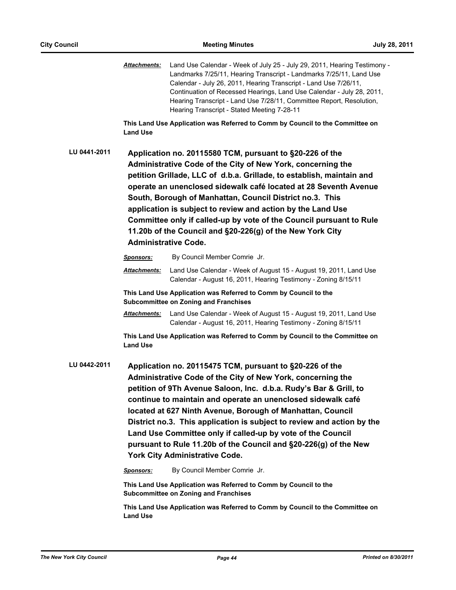*Attachments:* Land Use Calendar - Week of July 25 - July 29, 2011, Hearing Testimony - Landmarks 7/25/11, Hearing Transcript - Landmarks 7/25/11, Land Use Calendar - July 26, 2011, Hearing Transcript - Land Use 7/26/11, Continuation of Recessed Hearings, Land Use Calendar - July 28, 2011, Hearing Transcript - Land Use 7/28/11, Committee Report, Resolution, Hearing Transcript - Stated Meeting 7-28-11

**This Land Use Application was Referred to Comm by Council to the Committee on Land Use**

**LU 0441-2011 Application no. 20115580 TCM, pursuant to §20-226 of the Administrative Code of the City of New York, concerning the petition Grillade, LLC of d.b.a. Grillade, to establish, maintain and operate an unenclosed sidewalk café located at 28 Seventh Avenue South, Borough of Manhattan, Council District no.3. This application is subject to review and action by the Land Use Committee only if called-up by vote of the Council pursuant to Rule 11.20b of the Council and §20-226(g) of the New York City Administrative Code.**

|              | <b>Sponsors:</b>                                                                                                                                                                                                                                                                                                                                                                                                                                                                                                                                                                 | By Council Member Comrie Jr.                                                                                                        |  |
|--------------|----------------------------------------------------------------------------------------------------------------------------------------------------------------------------------------------------------------------------------------------------------------------------------------------------------------------------------------------------------------------------------------------------------------------------------------------------------------------------------------------------------------------------------------------------------------------------------|-------------------------------------------------------------------------------------------------------------------------------------|--|
|              | <b>Attachments:</b>                                                                                                                                                                                                                                                                                                                                                                                                                                                                                                                                                              | Land Use Calendar - Week of August 15 - August 19, 2011, Land Use<br>Calendar - August 16, 2011, Hearing Testimony - Zoning 8/15/11 |  |
|              | This Land Use Application was Referred to Comm by Council to the<br><b>Subcommittee on Zoning and Franchises</b>                                                                                                                                                                                                                                                                                                                                                                                                                                                                 |                                                                                                                                     |  |
|              | <b>Attachments:</b>                                                                                                                                                                                                                                                                                                                                                                                                                                                                                                                                                              | Land Use Calendar - Week of August 15 - August 19, 2011, Land Use<br>Calendar - August 16, 2011, Hearing Testimony - Zoning 8/15/11 |  |
|              | <b>Land Use</b>                                                                                                                                                                                                                                                                                                                                                                                                                                                                                                                                                                  | This Land Use Application was Referred to Comm by Council to the Committee on                                                       |  |
| LU 0442-2011 | Application no. 20115475 TCM, pursuant to §20-226 of the<br>Administrative Code of the City of New York, concerning the<br>petition of 9Th Avenue Saloon, Inc. d.b.a. Rudy's Bar & Grill, to<br>continue to maintain and operate an unenclosed sidewalk café<br>located at 627 Ninth Avenue, Borough of Manhattan, Council<br>District no.3. This application is subject to review and action by the<br>Land Use Committee only if called-up by vote of the Council<br>pursuant to Rule 11.20b of the Council and §20-226(g) of the New<br><b>York City Administrative Code.</b> |                                                                                                                                     |  |

*Sponsors:* By Council Member Comrie Jr.

**This Land Use Application was Referred to Comm by Council to the Subcommittee on Zoning and Franchises**

**This Land Use Application was Referred to Comm by Council to the Committee on Land Use**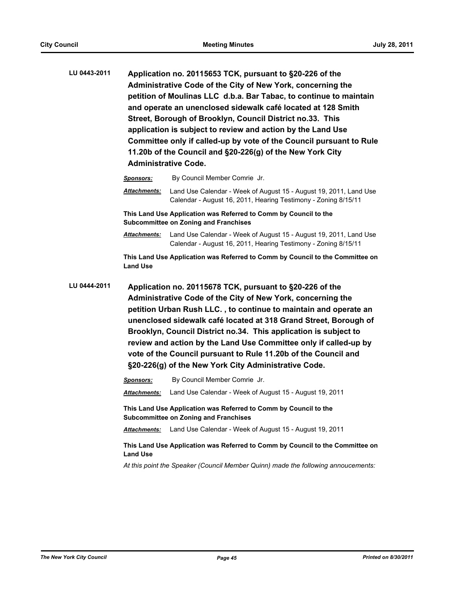**LU 0443-2011 Application no. 20115653 TCK, pursuant to §20-226 of the Administrative Code of the City of New York, concerning the petition of Moulinas LLC d.b.a. Bar Tabac, to continue to maintain and operate an unenclosed sidewalk café located at 128 Smith Street, Borough of Brooklyn, Council District no.33. This application is subject to review and action by the Land Use Committee only if called-up by vote of the Council pursuant to Rule 11.20b of the Council and §20-226(g) of the New York City Administrative Code.**

*Sponsors:* By Council Member Comrie Jr.

*Attachments:* Land Use Calendar - Week of August 15 - August 19, 2011, Land Use Calendar - August 16, 2011, Hearing Testimony - Zoning 8/15/11

**This Land Use Application was Referred to Comm by Council to the Subcommittee on Zoning and Franchises**

*Attachments:* Land Use Calendar - Week of August 15 - August 19, 2011, Land Use Calendar - August 16, 2011, Hearing Testimony - Zoning 8/15/11

**This Land Use Application was Referred to Comm by Council to the Committee on Land Use**

**LU 0444-2011 Application no. 20115678 TCK, pursuant to §20-226 of the Administrative Code of the City of New York, concerning the petition Urban Rush LLC. , to continue to maintain and operate an unenclosed sidewalk café located at 318 Grand Street, Borough of Brooklyn, Council District no.34. This application is subject to review and action by the Land Use Committee only if called-up by vote of the Council pursuant to Rule 11.20b of the Council and §20-226(g) of the New York City Administrative Code.**

| <b>Sponsors:</b>                                                                            | By Council Member Comrie Jr.                                                                                     |  |
|---------------------------------------------------------------------------------------------|------------------------------------------------------------------------------------------------------------------|--|
| <b>Attachments:</b>                                                                         | Land Use Calendar - Week of August 15 - August 19, 2011                                                          |  |
|                                                                                             | This Land Use Application was Referred to Comm by Council to the<br><b>Subcommittee on Zoning and Franchises</b> |  |
| <b>Attachments:</b>                                                                         | Land Use Calendar - Week of August 15 - August 19, 2011                                                          |  |
| This Land Use Application was Referred to Comm by Council to the Committee on<br>and lise ا |                                                                                                                  |  |

*At this point the Speaker (Council Member Quinn) made the following annoucements:*